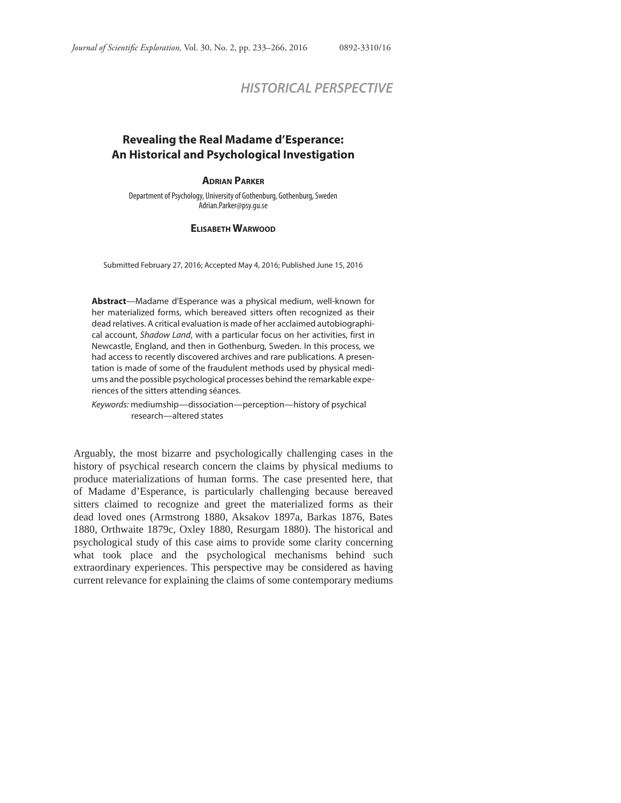# *HISTORICAL PERSPECTIVE*

## **Revealing the Real Madame d'Esperance: An Historical and Psychological Investigation**

#### **ADRIAN PARKER**

Department of Psychology, University of Gothenburg, Gothenburg, Sweden Adrian.Parker@psy.gu.se

#### **ELISABETH WARWOOD**

Submitted February 27, 2016; Accepted May 4, 2016; Published June 15, 2016

**Abstract**—Madame d'Esperance was a physical medium, well-known for her materialized forms, which bereaved sitters often recognized as their dead relatives. A critical evaluation is made of her acclaimed autobiographical account, Shadow Land, with a particular focus on her activities, first in Newcastle, England, and then in Gothenburg, Sweden. In this process, we had access to recently discovered archives and rare publications. A presentation is made of some of the fraudulent methods used by physical mediums and the possible psychological processes behind the remarkable experiences of the sitters attending séances.

Keywords: mediumship—dissociation—perception—history of psychical research—altered states

Arguably, the most bizarre and psychologically challenging cases in the history of psychical research concern the claims by physical mediums to produce materializations of human forms. The case presented here, that of Madame d'Esperance, is particularly challenging because bereaved sitters claimed to recognize and greet the materialized forms as their dead loved ones (Armstrong 1880, Aksakov 1897a, Barkas 1876, Bates 1880, Orthwaite 1879c, Oxley 1880, Resurgam 1880). The historical and psychological study of this case aims to provide some clarity concerning what took place and the psychological mechanisms behind such extraordinary experiences. This perspective may be considered as having current relevance for explaining the claims of some contemporary mediums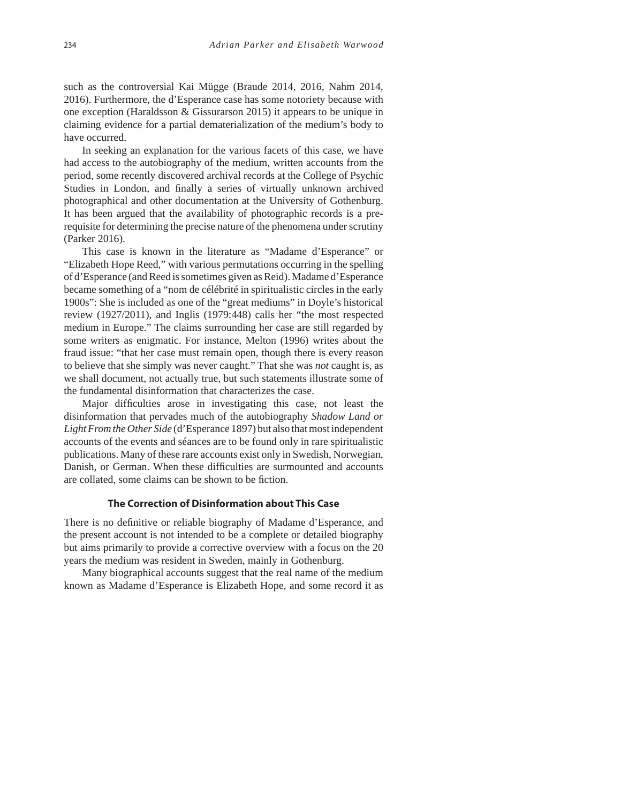such as the controversial Kai Mügge (Braude 2014, 2016, Nahm 2014, 2016). Furthermore, the d'Esperance case has some notoriety because with one exception (Haraldsson & Gissurarson 2015) it appears to be unique in claiming evidence for a partial dematerialization of the medium's body to have occurred.

In seeking an explanation for the various facets of this case, we have had access to the autobiography of the medium, written accounts from the period, some recently discovered archival records at the College of Psychic Studies in London, and finally a series of virtually unknown archived photographical and other documentation at the University of Gothenburg. It has been argued that the availability of photographic records is a prerequisite for determining the precise nature of the phenomena under scrutiny (Parker 2016).

This case is known in the literature as "Madame d'Esperance" or "Elizabeth Hope Reed," with various permutations occurring in the spelling of d'Esperance (and Reed is sometimes given as Reid). Madame d'Esperance became something of a "nom de célébrité in spiritualistic circles in the early 1900s": She is included as one of the "great mediums" in Doyle's historical review (1927/2011), and Inglis (1979:448) calls her "the most respected medium in Europe." The claims surrounding her case are still regarded by some writers as enigmatic. For instance, Melton (1996) writes about the fraud issue: "that her case must remain open, though there is every reason to believe that she simply was never caught." That she was *not* caught is, as we shall document, not actually true, but such statements illustrate some of the fundamental disinformation that characterizes the case.

Major difficulties arose in investigating this case, not least the disinformation that pervades much of the autobiography *Shadow Land or Light From the Other Side* (d'Esperance 1897) but also that most independent accounts of the events and séances are to be found only in rare spiritualistic publications. Many of these rare accounts exist only in Swedish, Norwegian, Danish, or German. When these difficulties are surmounted and accounts are collated, some claims can be shown to be fiction.

#### **The Correction of Disinformation about This Case**

There is no definitive or reliable biography of Madame d'Esperance, and the present account is not intended to be a complete or detailed biography but aims primarily to provide a corrective overview with a focus on the 20 years the medium was resident in Sweden, mainly in Gothenburg.

Many biographical accounts suggest that the real name of the medium known as Madame d'Esperance is Elizabeth Hope, and some record it as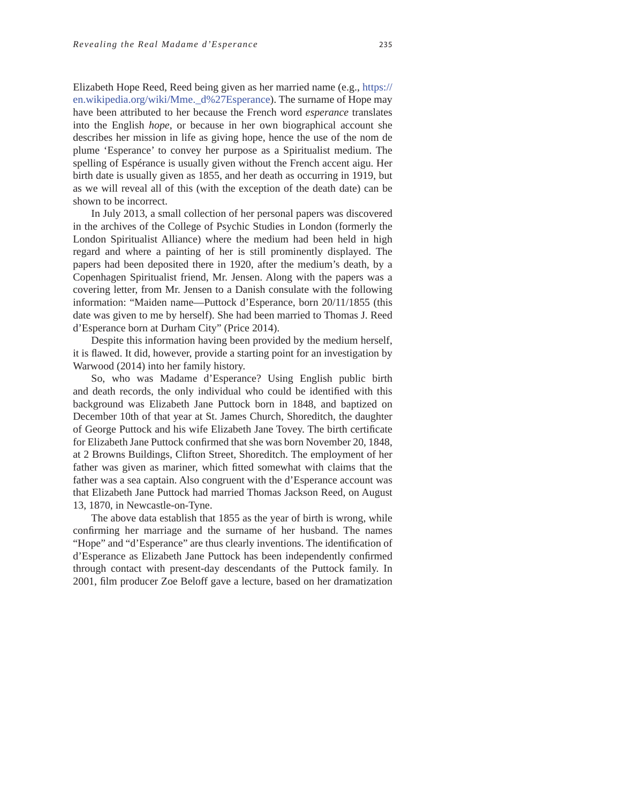Elizabeth Hope Reed, Reed being given as her married name (e.g., https:// en.wikipedia.org/wiki/Mme.\_d%27Esperance). The surname of Hope may have been attributed to her because the French word *esperance* translates into the English *hope*, or because in her own biographical account she describes her mission in life as giving hope, hence the use of the nom de plume 'Esperance' to convey her purpose as a Spiritualist medium. The spelling of Espérance is usually given without the French accent aigu. Her birth date is usually given as 1855, and her death as occurring in 1919, but as we will reveal all of this (with the exception of the death date) can be shown to be incorrect.

In July 2013, a small collection of her personal papers was discovered in the archives of the College of Psychic Studies in London (formerly the London Spiritualist Alliance) where the medium had been held in high regard and where a painting of her is still prominently displayed. The papers had been deposited there in 1920, after the medium's death, by a Copenhagen Spiritualist friend, Mr. Jensen. Along with the papers was a covering letter, from Mr. Jensen to a Danish consulate with the following information: "Maiden name—Puttock d'Esperance, born 20/11/1855 (this date was given to me by herself). She had been married to Thomas J. Reed d'Esperance born at Durham City" (Price 2014).

Despite this information having been provided by the medium herself, it is flawed. It did, however, provide a starting point for an investigation by Warwood (2014) into her family history.

So, who was Madame d'Esperance? Using English public birth and death records, the only individual who could be identified with this background was Elizabeth Jane Puttock born in 1848, and baptized on December 10th of that year at St. James Church, Shoreditch, the daughter of George Puttock and his wife Elizabeth Jane Tovey. The birth certificate for Elizabeth Jane Puttock confirmed that she was born November 20, 1848. at 2 Browns Buildings, Clifton Street, Shoreditch. The employment of her father was given as mariner, which fitted somewhat with claims that the father was a sea captain. Also congruent with the d'Esperance account was that Elizabeth Jane Puttock had married Thomas Jackson Reed, on August 13, 1870, in Newcastle-on-Tyne.

The above data establish that 1855 as the year of birth is wrong, while confirming her marriage and the surname of her husband. The names "Hope" and "d'Esperance" are thus clearly inventions. The identification of d'Esperance as Elizabeth Jane Puttock has been independently confirmed through contact with present-day descendants of the Puttock family. In 2001, film producer Zoe Beloff gave a lecture, based on her dramatization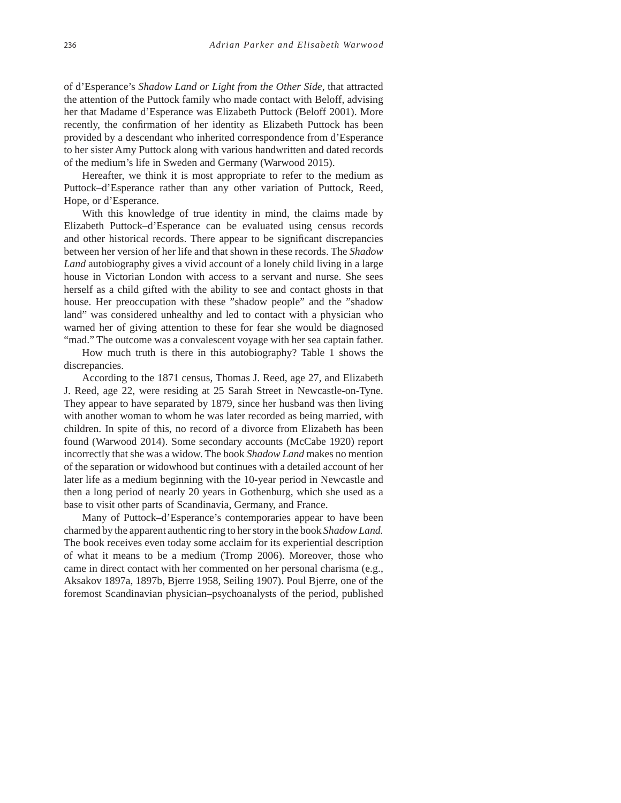of d'Esperance's *Shadow Land or Light from the Other Side*, that attracted the attention of the Puttock family who made contact with Beloff, advising her that Madame d'Esperance was Elizabeth Puttock (Beloff 2001). More recently, the confirmation of her identity as Elizabeth Puttock has been provided by a descendant who inherited correspondence from d'Esperance to her sister Amy Puttock along with various handwritten and dated records of the medium's life in Sweden and Germany (Warwood 2015).

Hereafter, we think it is most appropriate to refer to the medium as Puttock–d'Esperance rather than any other variation of Puttock, Reed, Hope, or d'Esperance.

With this knowledge of true identity in mind, the claims made by Elizabeth Puttock–d'Esperance can be evaluated using census records and other historical records. There appear to be significant discrepancies between her version of her life and that shown in these records. The *Shadow Land* autobiography gives a vivid account of a lonely child living in a large house in Victorian London with access to a servant and nurse. She sees herself as a child gifted with the ability to see and contact ghosts in that house. Her preoccupation with these "shadow people" and the "shadow land" was considered unhealthy and led to contact with a physician who warned her of giving attention to these for fear she would be diagnosed "mad." The outcome was a convalescent voyage with her sea captain father.

How much truth is there in this autobiography? Table 1 shows the discrepancies.

According to the 1871 census, Thomas J. Reed, age 27, and Elizabeth J. Reed, age 22, were residing at 25 Sarah Street in Newcastle-on-Tyne. They appear to have separated by 1879, since her husband was then living with another woman to whom he was later recorded as being married, with children. In spite of this, no record of a divorce from Elizabeth has been found (Warwood 2014). Some secondary accounts (McCabe 1920) report incorrectly that she was a widow. The book *Shadow Land* makes no mention of the separation or widowhood but continues with a detailed account of her later life as a medium beginning with the 10-year period in Newcastle and then a long period of nearly 20 years in Gothenburg, which she used as a base to visit other parts of Scandinavia, Germany, and France.

Many of Puttock–d'Esperance's contemporaries appear to have been charmed by the apparent authentic ring to her story in the book *Shadow Land.*  The book receives even today some acclaim for its experiential description of what it means to be a medium (Tromp 2006). Moreover, those who came in direct contact with her commented on her personal charisma (e.g., Aksakov 1897a, 1897b, Bjerre 1958, Seiling 1907). Poul Bjerre, one of the foremost Scandinavian physician–psychoanalysts of the period, published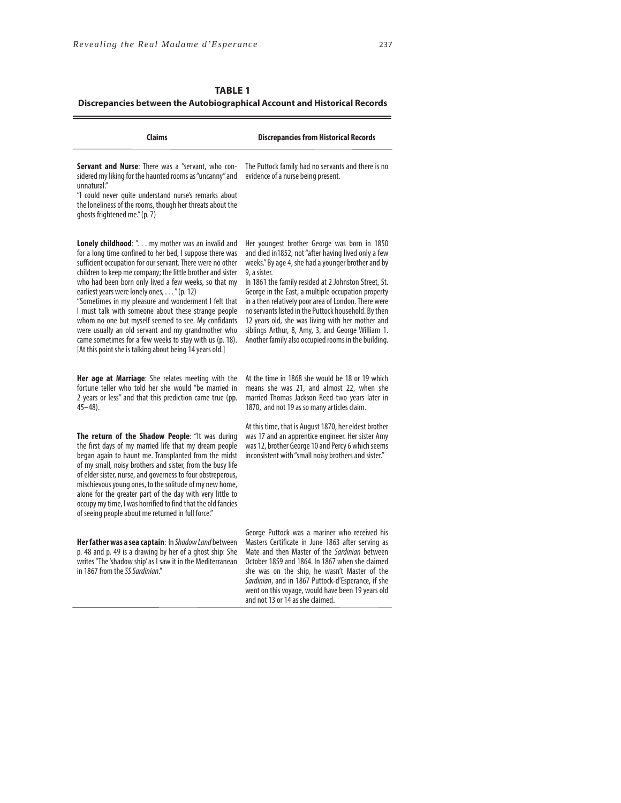the control of the control of the control of

| <b>TABLE 1</b>                                                            |
|---------------------------------------------------------------------------|
| Discrepancies between the Autobiographical Account and Historical Records |

| Claims                                                                                                                                                                                                                                                                                                                                                                                                                                                                                                                                                                                                                                                                                             | <b>Discrepancies from Historical Records</b>                                                                                                                                                                                                                                                                                                                                                                                                                                                                                                                             |
|----------------------------------------------------------------------------------------------------------------------------------------------------------------------------------------------------------------------------------------------------------------------------------------------------------------------------------------------------------------------------------------------------------------------------------------------------------------------------------------------------------------------------------------------------------------------------------------------------------------------------------------------------------------------------------------------------|--------------------------------------------------------------------------------------------------------------------------------------------------------------------------------------------------------------------------------------------------------------------------------------------------------------------------------------------------------------------------------------------------------------------------------------------------------------------------------------------------------------------------------------------------------------------------|
| Servant and Nurse: There was a "servant, who con-<br>sidered my liking for the haunted rooms as "uncanny" and<br>unnatural."<br>"I could never quite understand nurse's remarks about<br>the loneliness of the rooms, though her threats about the<br>ghosts frightened me." (p. 7)                                                                                                                                                                                                                                                                                                                                                                                                                | The Puttock family had no servants and there is no<br>evidence of a nurse being present.                                                                                                                                                                                                                                                                                                                                                                                                                                                                                 |
| Lonely childhood: ". my mother was an invalid and<br>for a long time confined to her bed, I suppose there was<br>sufficient occupation for our servant. There were no other<br>children to keep me company; the little brother and sister<br>who had been born only lived a few weeks, so that my<br>earliest years were lonely ones, " (p. 12)<br>"Sometimes in my pleasure and wonderment I felt that<br>I must talk with someone about these strange people<br>whom no one but myself seemed to see. My confidants<br>were usually an old servant and my grandmother who<br>came sometimes for a few weeks to stay with us (p. 18).<br>[At this point she is talking about being 14 years old.] | Her youngest brother George was born in 1850<br>and died in 1852, not "after having lived only a few<br>weeks." By age 4, she had a younger brother and by<br>9, a sister.<br>In 1861 the family resided at 2 Johnston Street, St.<br>George in the East, a multiple occupation property<br>in a then relatively poor area of London. There were<br>no servants listed in the Puttock household. By then<br>12 years old, she was living with her mother and<br>siblings Arthur, 8, Amy, 3, and George William 1.<br>Another family also occupied rooms in the building. |
| Her age at Marriage: She relates meeting with the<br>fortune teller who told her she would "be married in<br>2 years or less" and that this prediction came true (pp.<br>$45 - 48$ ).                                                                                                                                                                                                                                                                                                                                                                                                                                                                                                              | At the time in 1868 she would be 18 or 19 which<br>means she was 21, and almost 22, when she<br>married Thomas Jackson Reed two years later in<br>1870, and not 19 as so many articles claim.                                                                                                                                                                                                                                                                                                                                                                            |
| The return of the Shadow People: "It was during<br>the first days of my married life that my dream people<br>began again to haunt me. Transplanted from the midst<br>of my small, noisy brothers and sister, from the busy life<br>of elder sister, nurse, and governess to four obstreperous,<br>mischievous young ones, to the solitude of my new home,<br>alone for the greater part of the day with very little to<br>occupy my time, I was horrified to find that the old fancies<br>of seeing people about me returned in full force."                                                                                                                                                       | At this time, that is August 1870, her eldest brother<br>was 17 and an apprentice engineer. Her sister Amy<br>was 12, brother George 10 and Percy 6 which seems<br>inconsistent with "small noisy brothers and sister."                                                                                                                                                                                                                                                                                                                                                  |
| Her father was a sea captain: In Shadow Land between<br>p. 48 and p. 49 is a drawing by her of a ghost ship: She<br>writes "The 'shadow ship' as I saw it in the Mediterranean<br>in 1867 from the SS Sardinian."                                                                                                                                                                                                                                                                                                                                                                                                                                                                                  | George Puttock was a mariner who received his<br>Masters Certificate in June 1863 after serving as<br>Mate and then Master of the Sardinian between<br>October 1859 and 1864. In 1867 when she claimed<br>she was on the ship, he wasn't Master of the<br>Sardinian, and in 1867 Puttock-d'Esperance, if she                                                                                                                                                                                                                                                             |

went on this voyage, would have been 19 years old

and not 13 or 14 as she claimed.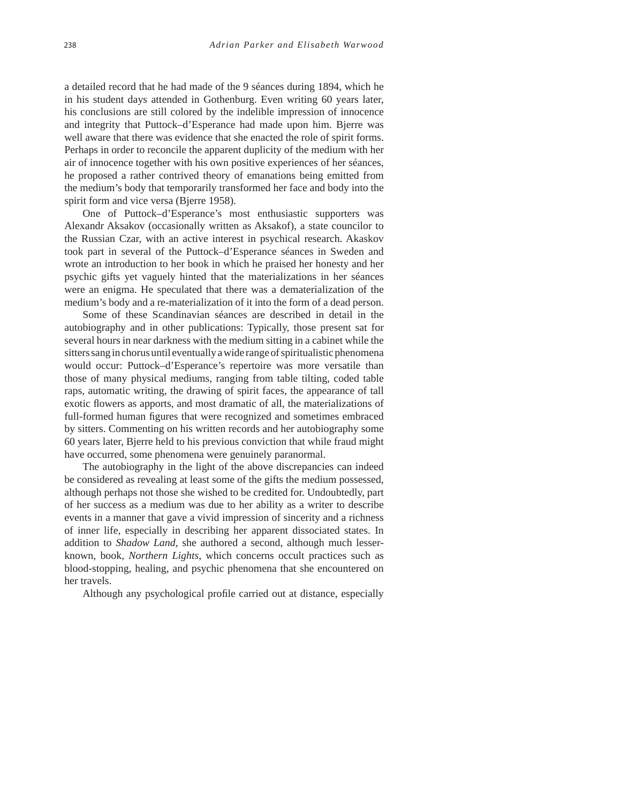a detailed record that he had made of the 9 séances during 1894, which he in his student days attended in Gothenburg. Even writing 60 years later, his conclusions are still colored by the indelible impression of innocence and integrity that Puttock–d'Esperance had made upon him. Bjerre was well aware that there was evidence that she enacted the role of spirit forms. Perhaps in order to reconcile the apparent duplicity of the medium with her air of innocence together with his own positive experiences of her séances, he proposed a rather contrived theory of emanations being emitted from the medium's body that temporarily transformed her face and body into the spirit form and vice versa (Bjerre 1958).

One of Puttock–d'Esperance's most enthusiastic supporters was Alexandr Aksakov (occasionally written as Aksakof), a state councilor to the Russian Czar, with an active interest in psychical research. Akaskov took part in several of the Puttock–d'Esperance séances in Sweden and wrote an introduction to her book in which he praised her honesty and her psychic gifts yet vaguely hinted that the materializations in her séances were an enigma. He speculated that there was a dematerialization of the medium's body and a re-materialization of it into the form of a dead person.

Some of these Scandinavian séances are described in detail in the autobiography and in other publications: Typically, those present sat for several hours in near darkness with the medium sitting in a cabinet while the sitters sang in chorus until eventually a wide range of spiritualistic phenomena would occur: Puttock–d'Esperance's repertoire was more versatile than those of many physical mediums, ranging from table tilting, coded table raps, automatic writing, the drawing of spirit faces, the appearance of tall exotic flowers as apports, and most dramatic of all, the materializations of full-formed human figures that were recognized and sometimes embraced by sitters. Commenting on his written records and her autobiography some 60 years later, Bjerre held to his previous conviction that while fraud might have occurred, some phenomena were genuinely paranormal.

The autobiography in the light of the above discrepancies can indeed be considered as revealing at least some of the gifts the medium possessed, although perhaps not those she wished to be credited for. Undoubtedly, part of her success as a medium was due to her ability as a writer to describe events in a manner that gave a vivid impression of sincerity and a richness of inner life, especially in describing her apparent dissociated states. In addition to *Shadow Land*, she authored a second, although much lesserknown, book, *Northern Lights*, which concerns occult practices such as blood-stopping, healing, and psychic phenomena that she encountered on her travels.

Although any psychological profile carried out at distance, especially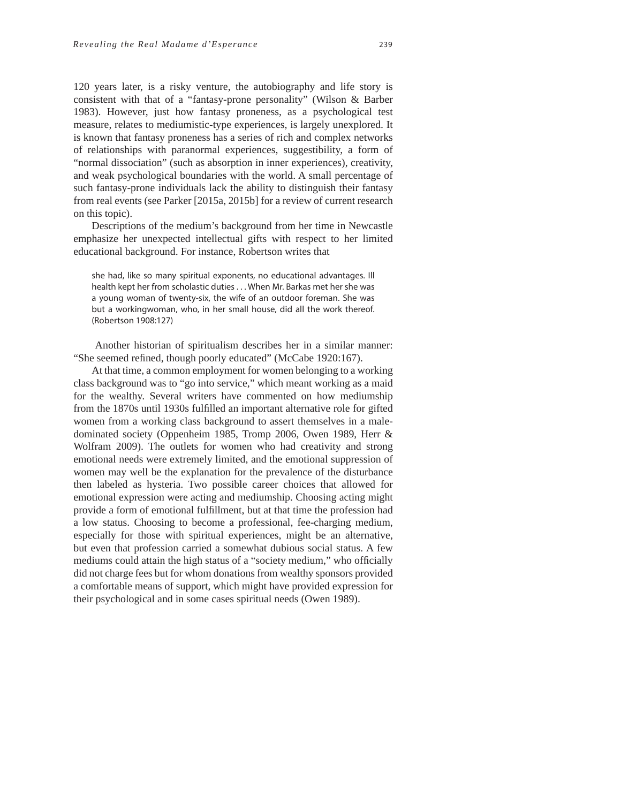120 years later, is a risky venture, the autobiography and life story is consistent with that of a "fantasy-prone personality" (Wilson & Barber 1983). However, just how fantasy proneness, as a psychological test measure, relates to mediumistic-type experiences, is largely unexplored. It is known that fantasy proneness has a series of rich and complex networks of relationships with paranormal experiences, suggestibility, a form of "normal dissociation" (such as absorption in inner experiences), creativity, and weak psychological boundaries with the world. A small percentage of such fantasy-prone individuals lack the ability to distinguish their fantasy from real events (see Parker [2015a, 2015b] for a review of current research on this topic).

Descriptions of the medium's background from her time in Newcastle emphasize her unexpected intellectual gifts with respect to her limited educational background. For instance, Robertson writes that

she had, like so many spiritual exponents, no educational advantages. Ill health kept her from scholastic duties . . . When Mr. Barkas met her she was a young woman of twenty-six, the wife of an outdoor foreman. She was but a workingwoman, who, in her small house, did all the work thereof. (Robertson 1908:127)

 Another historian of spiritualism describes her in a similar manner: "She seemed refined, though poorly educated" (McCabe 1920:167).

At that time, a common employment for women belonging to a working class background was to "go into service," which meant working as a maid for the wealthy. Several writers have commented on how mediumship from the 1870s until 1930s fulfilled an important alternative role for gifted women from a working class background to assert themselves in a maledominated society (Oppenheim 1985, Tromp 2006, Owen 1989, Herr & Wolfram 2009). The outlets for women who had creativity and strong emotional needs were extremely limited, and the emotional suppression of women may well be the explanation for the prevalence of the disturbance then labeled as hysteria. Two possible career choices that allowed for emotional expression were acting and mediumship. Choosing acting might provide a form of emotional fulfillment, but at that time the profession had a low status. Choosing to become a professional, fee-charging medium, especially for those with spiritual experiences, might be an alternative, but even that profession carried a somewhat dubious social status. A few mediums could attain the high status of a "society medium," who officially did not charge fees but for whom donations from wealthy sponsors provided a comfortable means of support, which might have provided expression for their psychological and in some cases spiritual needs (Owen 1989).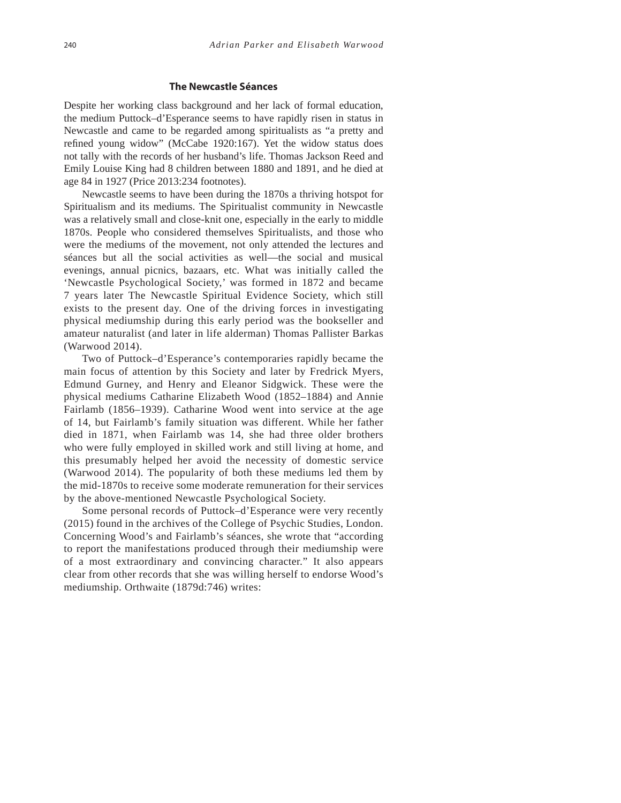#### **The Newcastle Séances**

Despite her working class background and her lack of formal education, the medium Puttock–d'Esperance seems to have rapidly risen in status in Newcastle and came to be regarded among spiritualists as "a pretty and refined young widow" (McCabe 1920:167). Yet the widow status does not tally with the records of her husband's life. Thomas Jackson Reed and Emily Louise King had 8 children between 1880 and 1891, and he died at age 84 in 1927 (Price 2013:234 footnotes).

Newcastle seems to have been during the 1870s a thriving hotspot for Spiritualism and its mediums. The Spiritualist community in Newcastle was a relatively small and close-knit one, especially in the early to middle 1870s. People who considered themselves Spiritualists, and those who were the mediums of the movement, not only attended the lectures and séances but all the social activities as well—the social and musical evenings, annual picnics, bazaars, etc. What was initially called the 'Newcastle Psychological Society,' was formed in 1872 and became 7 years later The Newcastle Spiritual Evidence Society, which still exists to the present day. One of the driving forces in investigating physical mediumship during this early period was the bookseller and amateur naturalist (and later in life alderman) Thomas Pallister Barkas (Warwood 2014).

Two of Puttock–d'Esperance's contemporaries rapidly became the main focus of attention by this Society and later by Fredrick Myers, Edmund Gurney, and Henry and Eleanor Sidgwick. These were the physical mediums Catharine Elizabeth Wood (1852–1884) and Annie Fairlamb (1856–1939). Catharine Wood went into service at the age of 14, but Fairlamb's family situation was different. While her father died in 1871, when Fairlamb was 14, she had three older brothers who were fully employed in skilled work and still living at home, and this presumably helped her avoid the necessity of domestic service (Warwood 2014). The popularity of both these mediums led them by the mid-1870s to receive some moderate remuneration for their services by the above-mentioned Newcastle Psychological Society.

Some personal records of Puttock–d'Esperance were very recently (2015) found in the archives of the College of Psychic Studies, London. Concerning Wood's and Fairlamb's séances, she wrote that "according to report the manifestations produced through their mediumship were of a most extraordinary and convincing character." It also appears clear from other records that she was willing herself to endorse Wood's mediumship. Orthwaite (1879d:746) writes: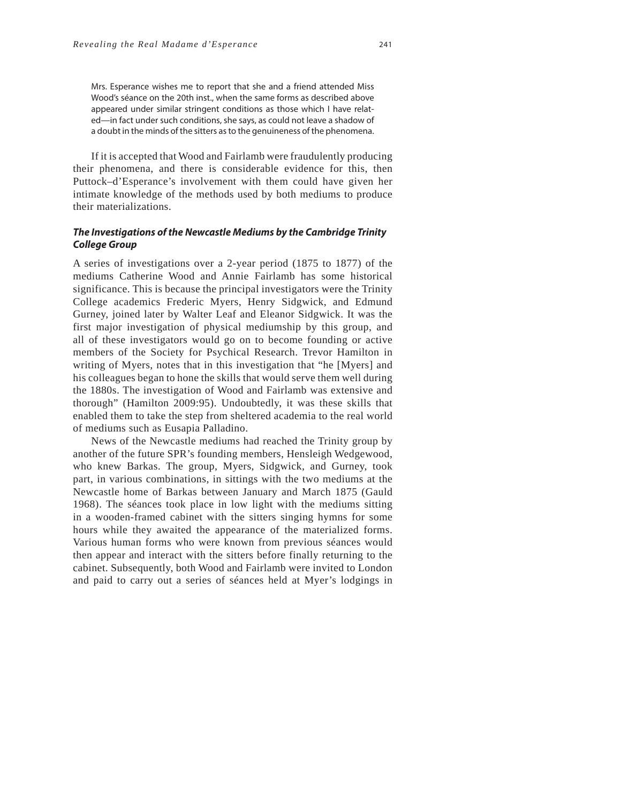Mrs. Esperance wishes me to report that she and a friend attended Miss Wood's séance on the 20th inst., when the same forms as described above appeared under similar stringent conditions as those which I have related—in fact under such conditions, she says, as could not leave a shadow of a doubt in the minds of the sitters as to the genuineness of the phenomena.

If it is accepted that Wood and Fairlamb were fraudulently producing their phenomena, and there is considerable evidence for this, then Puttock–d'Esperance's involvement with them could have given her intimate knowledge of the methods used by both mediums to produce their materializations.

### *The Investigations of the Newcastle Mediums by the Cambridge Trinity College Group*

A series of investigations over a 2-year period (1875 to 1877) of the mediums Catherine Wood and Annie Fairlamb has some historical significance. This is because the principal investigators were the Trinity College academics Frederic Myers, Henry Sidgwick, and Edmund Gurney, joined later by Walter Leaf and Eleanor Sidgwick. It was the first major investigation of physical mediumship by this group, and all of these investigators would go on to become founding or active members of the Society for Psychical Research. Trevor Hamilton in writing of Myers, notes that in this investigation that "he [Myers] and his colleagues began to hone the skills that would serve them well during the 1880s. The investigation of Wood and Fairlamb was extensive and thorough" (Hamilton 2009:95). Undoubtedly, it was these skills that enabled them to take the step from sheltered academia to the real world of mediums such as Eusapia Palladino.

News of the Newcastle mediums had reached the Trinity group by another of the future SPR's founding members, Hensleigh Wedgewood, who knew Barkas. The group, Myers, Sidgwick, and Gurney, took part, in various combinations, in sittings with the two mediums at the Newcastle home of Barkas between January and March 1875 (Gauld 1968). The séances took place in low light with the mediums sitting in a wooden-framed cabinet with the sitters singing hymns for some hours while they awaited the appearance of the materialized forms. Various human forms who were known from previous séances would then appear and interact with the sitters before finally returning to the cabinet. Subsequently, both Wood and Fairlamb were invited to London and paid to carry out a series of séances held at Myer's lodgings in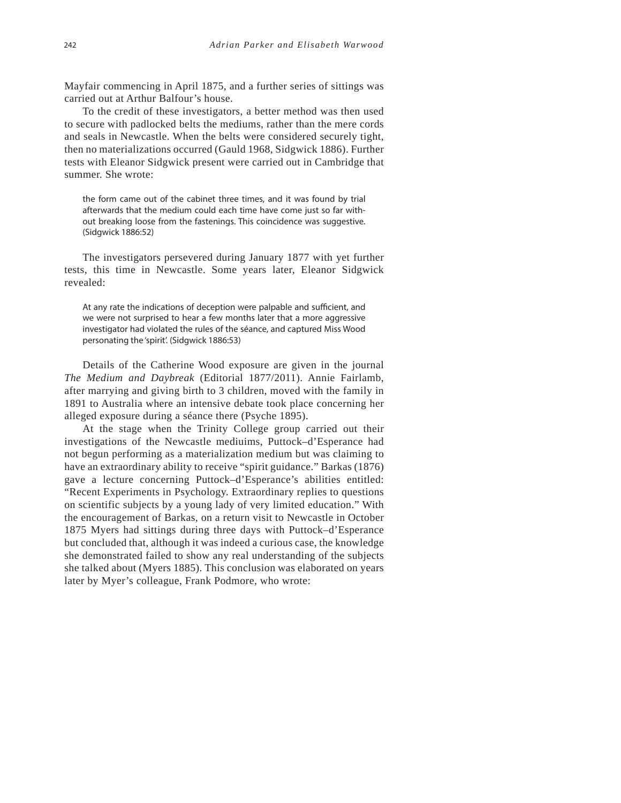Mayfair commencing in April 1875, and a further series of sittings was carried out at Arthur Balfour's house.

To the credit of these investigators, a better method was then used to secure with padlocked belts the mediums, rather than the mere cords and seals in Newcastle. When the belts were considered securely tight, then no materializations occurred (Gauld 1968, Sidgwick 1886). Further tests with Eleanor Sidgwick present were carried out in Cambridge that summer. She wrote:

the form came out of the cabinet three times, and it was found by trial afterwards that the medium could each time have come just so far without breaking loose from the fastenings. This coincidence was suggestive. (Sidgwick 1886:52)

The investigators persevered during January 1877 with yet further tests, this time in Newcastle. Some years later, Eleanor Sidgwick revealed:

At any rate the indications of deception were palpable and sufficient, and we were not surprised to hear a few months later that a more aggressive investigator had violated the rules of the séance, and captured Miss Wood personating the 'spirit'. (Sidgwick 1886:53)

Details of the Catherine Wood exposure are given in the journal *The Medium and Daybreak* (Editorial 1877/2011). Annie Fairlamb, after marrying and giving birth to 3 children, moved with the family in 1891 to Australia where an intensive debate took place concerning her alleged exposure during a séance there (Psyche 1895).

At the stage when the Trinity College group carried out their investigations of the Newcastle mediuims, Puttock–d'Esperance had not begun performing as a materialization medium but was claiming to have an extraordinary ability to receive "spirit guidance." Barkas (1876) gave a lecture concerning Puttock–d'Esperance's abilities entitled: "Recent Experiments in Psychology. Extraordinary replies to questions on scientific subjects by a young lady of very limited education." With the encouragement of Barkas, on a return visit to Newcastle in October 1875 Myers had sittings during three days with Puttock–d'Esperance but concluded that, although it was indeed a curious case, the knowledge she demonstrated failed to show any real understanding of the subjects she talked about (Myers 1885). This conclusion was elaborated on years later by Myer's colleague, Frank Podmore, who wrote: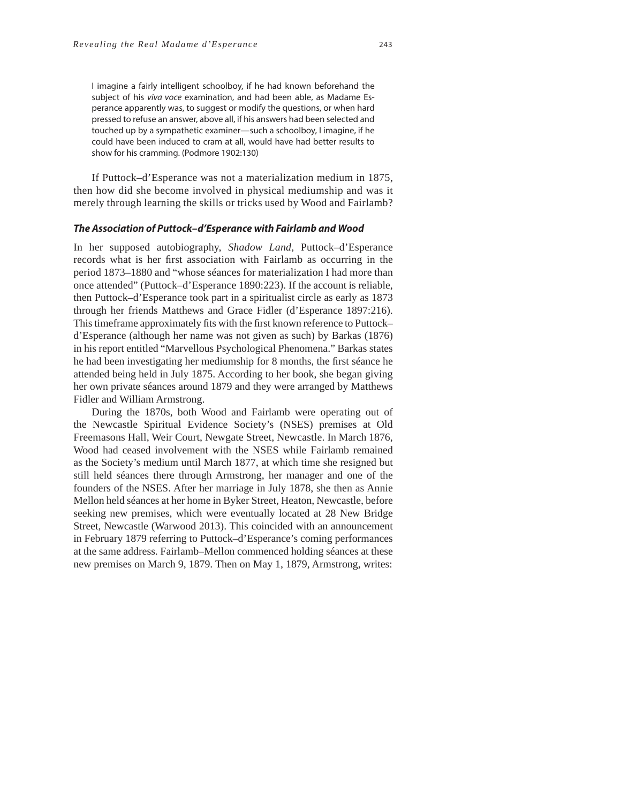I imagine a fairly intelligent schoolboy, if he had known beforehand the subject of his viva voce examination, and had been able, as Madame Esperance apparently was, to suggest or modify the questions, or when hard pressed to refuse an answer, above all, if his answers had been selected and touched up by a sympathetic examiner—such a schoolboy, I imagine, if he could have been induced to cram at all, would have had better results to show for his cramming. (Podmore 1902:130)

If Puttock–d'Esperance was not a materialization medium in 1875, then how did she become involved in physical mediumship and was it merely through learning the skills or tricks used by Wood and Fairlamb?

#### *The Association of Puttock–d'Esperance with Fairlamb and Wood*

In her supposed autobiography, *Shadow Land*, Puttock–d'Esperance records what is her first association with Fairlamb as occurring in the period 1873–1880 and "whose séances for materialization I had more than once attended" (Puttock–d'Esperance 1890:223). If the account is reliable, then Puttock–d'Esperance took part in a spiritualist circle as early as 1873 through her friends Matthews and Grace Fidler (d'Esperance 1897:216). This timeframe approximately fits with the first known reference to Puttock– d'Esperance (although her name was not given as such) by Barkas (1876) in his report entitled "Marvellous Psychological Phenomena." Barkas states he had been investigating her mediumship for 8 months, the first séance he attended being held in July 1875. According to her book, she began giving her own private séances around 1879 and they were arranged by Matthews Fidler and William Armstrong.

During the 1870s, both Wood and Fairlamb were operating out of the Newcastle Spiritual Evidence Society's (NSES) premises at Old Freemasons Hall, Weir Court, Newgate Street, Newcastle. In March 1876, Wood had ceased involvement with the NSES while Fairlamb remained as the Society's medium until March 1877, at which time she resigned but still held séances there through Armstrong, her manager and one of the founders of the NSES. After her marriage in July 1878, she then as Annie Mellon held séances at her home in Byker Street, Heaton, Newcastle, before seeking new premises, which were eventually located at 28 New Bridge Street, Newcastle (Warwood 2013). This coincided with an announcement in February 1879 referring to Puttock–d'Esperance's coming performances at the same address. Fairlamb–Mellon commenced holding séances at these new premises on March 9, 1879. Then on May 1, 1879, Armstrong, writes: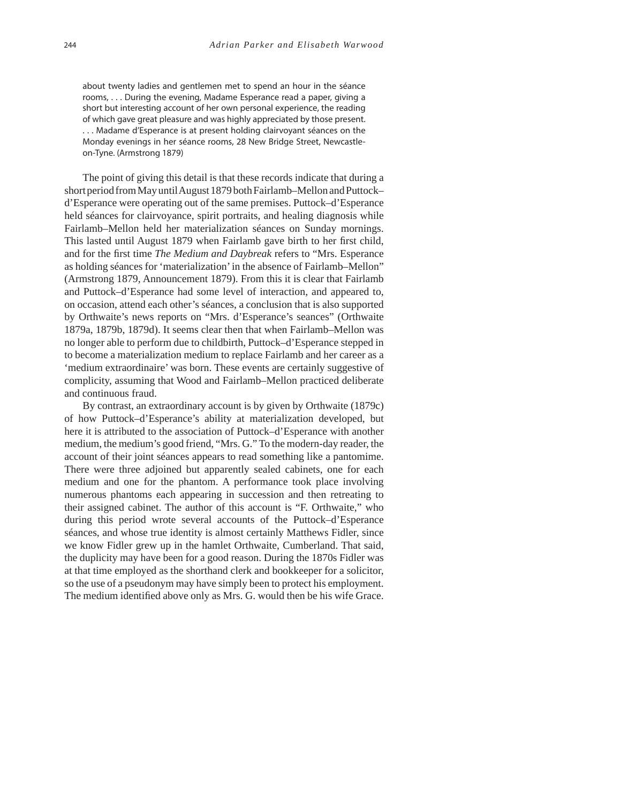about twenty ladies and gentlemen met to spend an hour in the séance rooms, . . . During the evening, Madame Esperance read a paper, giving a short but interesting account of her own personal experience, the reading of which gave great pleasure and was highly appreciated by those present. . . . Madame d'Esperance is at present holding clairvoyant séances on the Monday evenings in her séance rooms, 28 New Bridge Street, Newcastleon-Tyne. (Armstrong 1879)

The point of giving this detail is that these records indicate that during a short period from May until August 1879 both Fairlamb–Mellon and Puttock– d'Esperance were operating out of the same premises. Puttock–d'Esperance held séances for clairvoyance, spirit portraits, and healing diagnosis while Fairlamb–Mellon held her materialization séances on Sunday mornings. This lasted until August 1879 when Fairlamb gave birth to her first child, and for the first time *The Medium and Daybreak* refers to "Mrs. Esperance" as holding séances for 'materialization' in the absence of Fairlamb–Mellon" (Armstrong 1879, Announcement 1879). From this it is clear that Fairlamb and Puttock–d'Esperance had some level of interaction, and appeared to, on occasion, attend each other's séances, a conclusion that is also supported by Orthwaite's news reports on "Mrs. d'Esperance's seances" (Orthwaite 1879a, 1879b, 1879d). It seems clear then that when Fairlamb–Mellon was no longer able to perform due to childbirth, Puttock–d'Esperance stepped in to become a materialization medium to replace Fairlamb and her career as a 'medium extraordinaire' was born. These events are certainly suggestive of complicity, assuming that Wood and Fairlamb–Mellon practiced deliberate and continuous fraud.

By contrast, an extraordinary account is by given by Orthwaite (1879c) of how Puttock–d'Esperance's ability at materialization developed, but here it is attributed to the association of Puttock–d'Esperance with another medium, the medium's good friend, "Mrs. G." To the modern-day reader, the account of their joint séances appears to read something like a pantomime. There were three adjoined but apparently sealed cabinets, one for each medium and one for the phantom. A performance took place involving numerous phantoms each appearing in succession and then retreating to their assigned cabinet. The author of this account is "F. Orthwaite," who during this period wrote several accounts of the Puttock–d'Esperance séances, and whose true identity is almost certainly Matthews Fidler, since we know Fidler grew up in the hamlet Orthwaite, Cumberland. That said, the duplicity may have been for a good reason. During the 1870s Fidler was at that time employed as the shorthand clerk and bookkeeper for a solicitor, so the use of a pseudonym may have simply been to protect his employment. The medium identified above only as Mrs. G. would then be his wife Grace.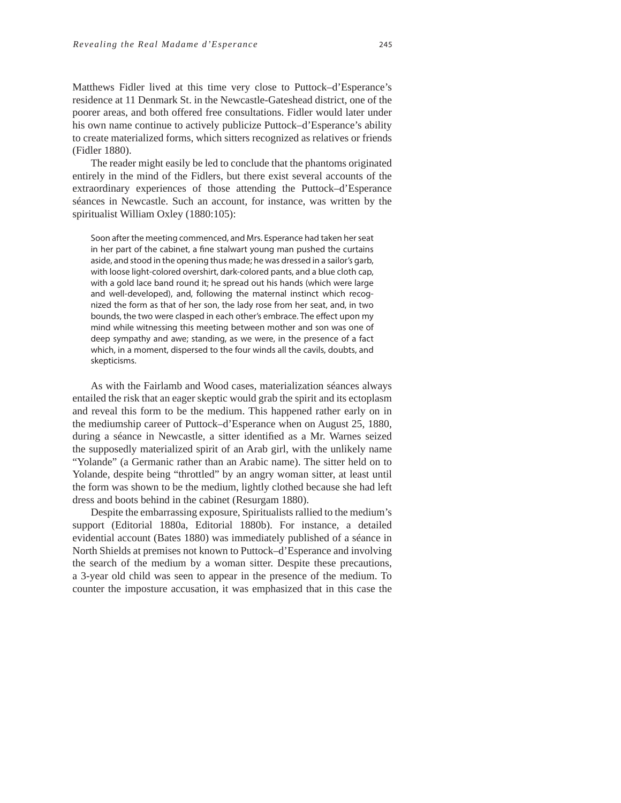Matthews Fidler lived at this time very close to Puttock–d'Esperance's residence at 11 Denmark St. in the Newcastle-Gateshead district, one of the poorer areas, and both offered free consultations. Fidler would later under his own name continue to actively publicize Puttock–d'Esperance's ability to create materialized forms, which sitters recognized as relatives or friends (Fidler 1880).

The reader might easily be led to conclude that the phantoms originated entirely in the mind of the Fidlers, but there exist several accounts of the extraordinary experiences of those attending the Puttock–d'Esperance séances in Newcastle. Such an account, for instance, was written by the spiritualist William Oxley (1880:105):

Soon after the meeting commenced, and Mrs. Esperance had taken her seat in her part of the cabinet, a fine stalwart young man pushed the curtains aside, and stood in the opening thus made; he was dressed in a sailor's garb, with loose light-colored overshirt, dark-colored pants, and a blue cloth cap, with a gold lace band round it; he spread out his hands (which were large and well-developed), and, following the maternal instinct which recognized the form as that of her son, the lady rose from her seat, and, in two bounds, the two were clasped in each other's embrace. The effect upon my mind while witnessing this meeting between mother and son was one of deep sympathy and awe; standing, as we were, in the presence of a fact which, in a moment, dispersed to the four winds all the cavils, doubts, and skepticisms.

As with the Fairlamb and Wood cases, materialization séances always entailed the risk that an eager skeptic would grab the spirit and its ectoplasm and reveal this form to be the medium. This happened rather early on in the mediumship career of Puttock–d'Esperance when on August 25, 1880, during a séance in Newcastle, a sitter identified as a Mr. Warnes seized the supposedly materialized spirit of an Arab girl, with the unlikely name "Yolande" (a Germanic rather than an Arabic name). The sitter held on to Yolande, despite being "throttled" by an angry woman sitter, at least until the form was shown to be the medium, lightly clothed because she had left dress and boots behind in the cabinet (Resurgam 1880).

Despite the embarrassing exposure, Spiritualists rallied to the medium's support (Editorial 1880a, Editorial 1880b). For instance, a detailed evidential account (Bates 1880) was immediately published of a séance in North Shields at premises not known to Puttock–d'Esperance and involving the search of the medium by a woman sitter. Despite these precautions, a 3-year old child was seen to appear in the presence of the medium. To counter the imposture accusation, it was emphasized that in this case the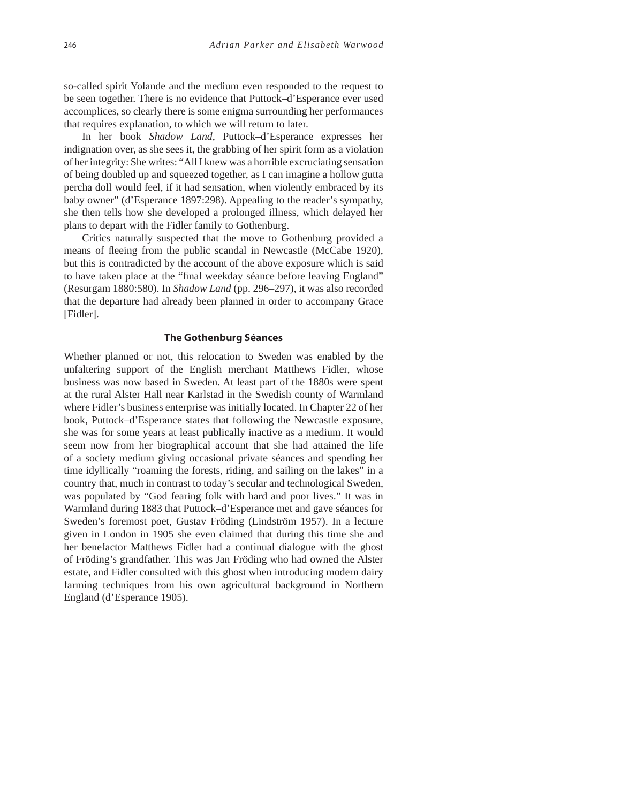so-called spirit Yolande and the medium even responded to the request to be seen together. There is no evidence that Puttock–d'Esperance ever used accomplices, so clearly there is some enigma surrounding her performances that requires explanation, to which we will return to later.

In her book *Shadow Land*, Puttock–d'Esperance expresses her indignation over, as she sees it, the grabbing of her spirit form as a violation of her integrity: She writes: "All I knew was a horrible excruciating sensation of being doubled up and squeezed together, as I can imagine a hollow gutta percha doll would feel, if it had sensation, when violently embraced by its baby owner" (d'Esperance 1897:298). Appealing to the reader's sympathy, she then tells how she developed a prolonged illness, which delayed her plans to depart with the Fidler family to Gothenburg.

Critics naturally suspected that the move to Gothenburg provided a means of fleeing from the public scandal in Newcastle (McCabe 1920), but this is contradicted by the account of the above exposure which is said to have taken place at the "final weekday séance before leaving England" (Resurgam 1880:580). In *Shadow Land* (pp. 296–297), it was also recorded that the departure had already been planned in order to accompany Grace [Fidler].

#### **The Gothenburg Séances**

Whether planned or not, this relocation to Sweden was enabled by the unfaltering support of the English merchant Matthews Fidler, whose business was now based in Sweden. At least part of the 1880s were spent at the rural Alster Hall near Karlstad in the Swedish county of Warmland where Fidler's business enterprise was initially located. In Chapter 22 of her book, Puttock–d'Esperance states that following the Newcastle exposure, she was for some years at least publically inactive as a medium. It would seem now from her biographical account that she had attained the life of a society medium giving occasional private séances and spending her time idyllically "roaming the forests, riding, and sailing on the lakes" in a country that, much in contrast to today's secular and technological Sweden, was populated by "God fearing folk with hard and poor lives." It was in Warmland during 1883 that Puttock–d'Esperance met and gave séances for Sweden's foremost poet, Gustav Fröding (Lindström 1957). In a lecture given in London in 1905 she even claimed that during this time she and her benefactor Matthews Fidler had a continual dialogue with the ghost of Fröding's grandfather. This was Jan Fröding who had owned the Alster estate, and Fidler consulted with this ghost when introducing modern dairy farming techniques from his own agricultural background in Northern England (d'Esperance 1905).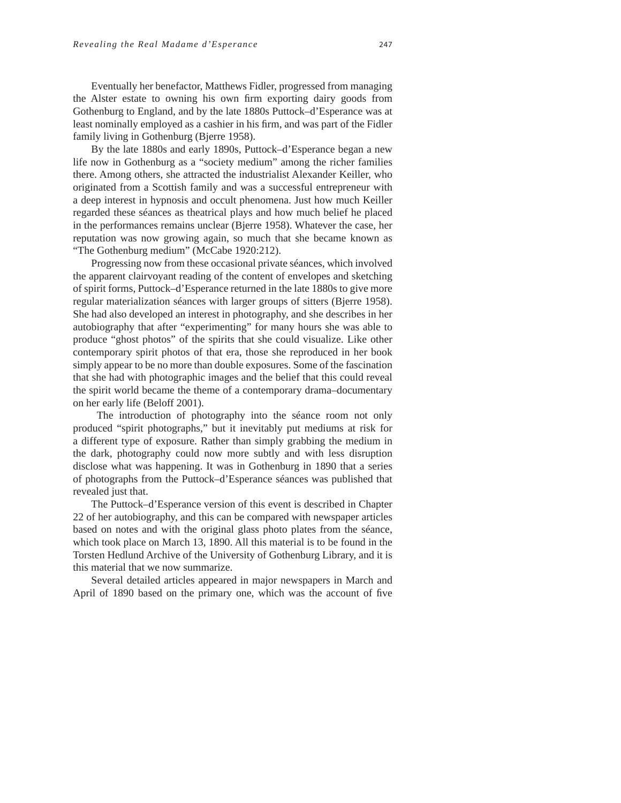Eventually her benefactor, Matthews Fidler, progressed from managing the Alster estate to owning his own firm exporting dairy goods from Gothenburg to England, and by the late 1880s Puttock–d'Esperance was at least nominally employed as a cashier in his firm, and was part of the Fidler family living in Gothenburg (Bjerre 1958).

By the late 1880s and early 1890s, Puttock–d'Esperance began a new life now in Gothenburg as a "society medium" among the richer families there. Among others, she attracted the industrialist Alexander Keiller, who originated from a Scottish family and was a successful entrepreneur with a deep interest in hypnosis and occult phenomena. Just how much Keiller regarded these séances as theatrical plays and how much belief he placed in the performances remains unclear (Bjerre 1958). Whatever the case, her reputation was now growing again, so much that she became known as "The Gothenburg medium" (McCabe 1920:212).

Progressing now from these occasional private séances, which involved the apparent clairvoyant reading of the content of envelopes and sketching of spirit forms, Puttock–d'Esperance returned in the late 1880s to give more regular materialization séances with larger groups of sitters (Bjerre 1958). She had also developed an interest in photography, and she describes in her autobiography that after "experimenting" for many hours she was able to produce "ghost photos" of the spirits that she could visualize. Like other contemporary spirit photos of that era, those she reproduced in her book simply appear to be no more than double exposures. Some of the fascination that she had with photographic images and the belief that this could reveal the spirit world became the theme of a contemporary drama–documentary on her early life (Beloff 2001).

 The introduction of photography into the séance room not only produced "spirit photographs," but it inevitably put mediums at risk for a different type of exposure. Rather than simply grabbing the medium in the dark, photography could now more subtly and with less disruption disclose what was happening. It was in Gothenburg in 1890 that a series of photographs from the Puttock–d'Esperance séances was published that revealed just that.

The Puttock–d'Esperance version of this event is described in Chapter 22 of her autobiography, and this can be compared with newspaper articles based on notes and with the original glass photo plates from the séance, which took place on March 13, 1890. All this material is to be found in the Torsten Hedlund Archive of the University of Gothenburg Library, and it is this material that we now summarize.

Several detailed articles appeared in major newspapers in March and April of 1890 based on the primary one, which was the account of five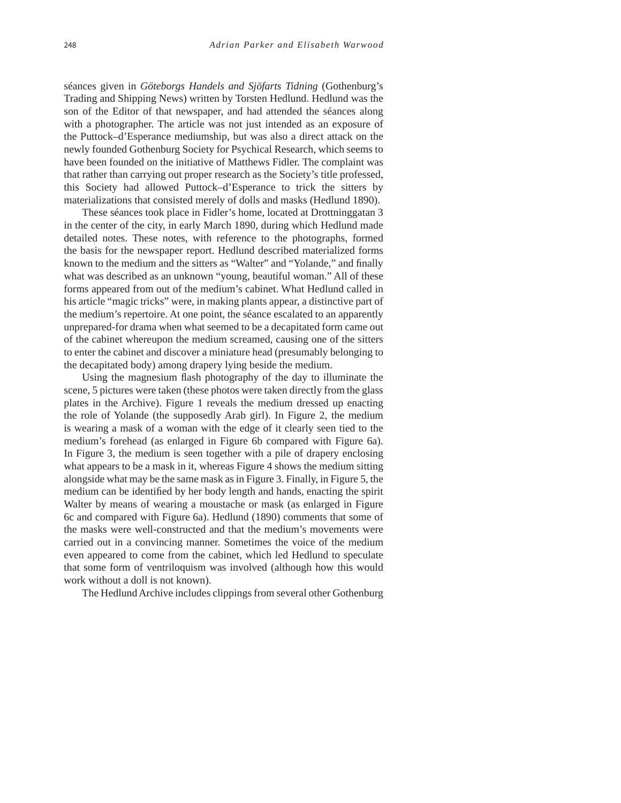séances given in *Göteborgs Handels and Sjöfarts Tidning* (Gothenburg's Trading and Shipping News) written by Torsten Hedlund. Hedlund was the son of the Editor of that newspaper, and had attended the séances along with a photographer. The article was not just intended as an exposure of the Puttock–d'Esperance mediumship, but was also a direct attack on the newly founded Gothenburg Society for Psychical Research, which seems to have been founded on the initiative of Matthews Fidler. The complaint was that rather than carrying out proper research as the Society's title professed, this Society had allowed Puttock–d'Esperance to trick the sitters by materializations that consisted merely of dolls and masks (Hedlund 1890).

These séances took place in Fidler's home, located at Drottninggatan 3 in the center of the city, in early March 1890, during which Hedlund made detailed notes. These notes, with reference to the photographs, formed the basis for the newspaper report. Hedlund described materialized forms known to the medium and the sitters as "Walter" and "Yolande," and finally what was described as an unknown "young, beautiful woman." All of these forms appeared from out of the medium's cabinet. What Hedlund called in his article "magic tricks" were, in making plants appear, a distinctive part of the medium's repertoire. At one point, the séance escalated to an apparently unprepared-for drama when what seemed to be a decapitated form came out of the cabinet whereupon the medium screamed, causing one of the sitters to enter the cabinet and discover a miniature head (presumably belonging to the decapitated body) among drapery lying beside the medium.

Using the magnesium flash photography of the day to illuminate the scene, 5 pictures were taken (these photos were taken directly from the glass plates in the Archive). Figure 1 reveals the medium dressed up enacting the role of Yolande (the supposedly Arab girl). In Figure 2, the medium is wearing a mask of a woman with the edge of it clearly seen tied to the medium's forehead (as enlarged in Figure 6b compared with Figure 6a). In Figure 3, the medium is seen together with a pile of drapery enclosing what appears to be a mask in it, whereas Figure 4 shows the medium sitting alongside what may be the same mask as in Figure 3. Finally, in Figure 5, the medium can be identified by her body length and hands, enacting the spirit Walter by means of wearing a moustache or mask (as enlarged in Figure 6c and compared with Figure 6a). Hedlund (1890) comments that some of the masks were well-constructed and that the medium's movements were carried out in a convincing manner. Sometimes the voice of the medium even appeared to come from the cabinet, which led Hedlund to speculate that some form of ventriloquism was involved (although how this would work without a doll is not known).

The Hedlund Archive includes clippings from several other Gothenburg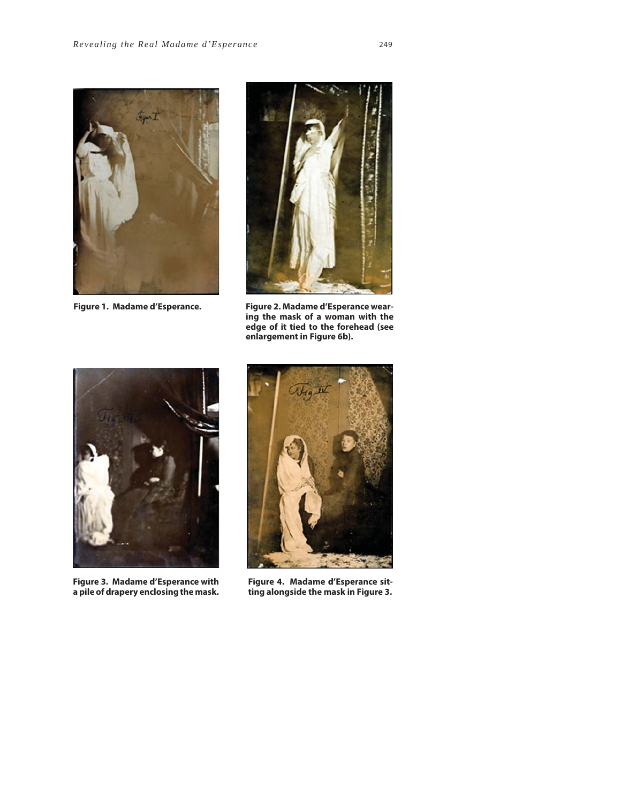



**Figure 1. Madame d'Esperance. Figure 2. Madame d'Esperance wearing the mask of a woman with the edge of it tied to the forehead (see enlargement in Figure 6b).**



**Figure 3. Madame d'Esperance with a pile of drapery enclosing the mask.**



**Figure 4. Madame d'Esperance sitting alongside the mask in Figure 3.**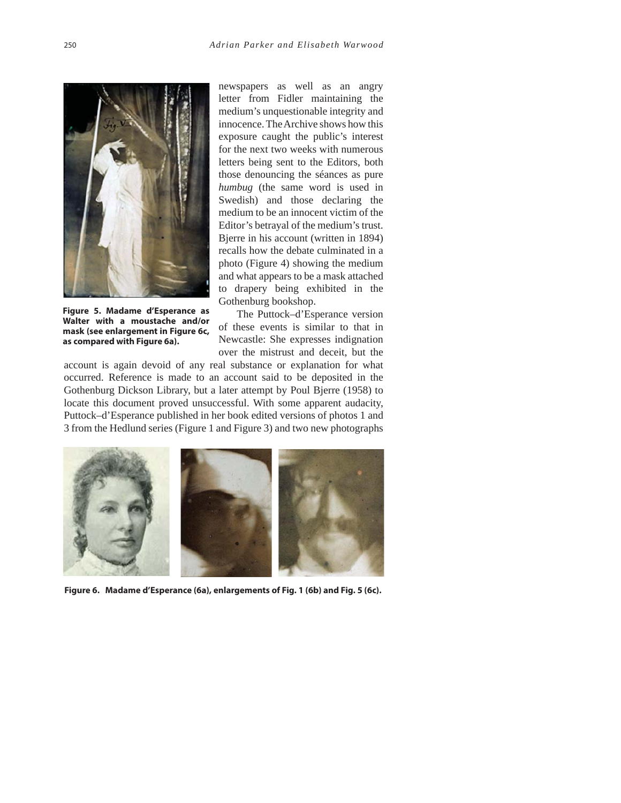

**Figure 5. Madame d'Esperance as Walter with a moustache and/or mask (see enlargement in Figure 6c, as compared with Figure 6a).**

newspapers as well as an angry letter from Fidler maintaining the medium's unquestionable integrity and innocence. The Archive shows how this exposure caught the public's interest for the next two weeks with numerous letters being sent to the Editors, both those denouncing the séances as pure *humbug* (the same word is used in Swedish) and those declaring the medium to be an innocent victim of the Editor's betrayal of the medium's trust. Bjerre in his account (written in 1894) recalls how the debate culminated in a photo (Figure 4) showing the medium and what appears to be a mask attached to drapery being exhibited in the Gothenburg bookshop.

The Puttock–d'Esperance version of these events is similar to that in Newcastle: She expresses indignation over the mistrust and deceit, but the

account is again devoid of any real substance or explanation for what occurred. Reference is made to an account said to be deposited in the Gothenburg Dickson Library, but a later attempt by Poul Bjerre (1958) to locate this document proved unsuccessful. With some apparent audacity, Puttock–d'Esperance published in her book edited versions of photos 1 and 3 from the Hedlund series (Figure 1 and Figure 3) and two new photographs



**Figure 6. Madame d'Esperance (6a), enlargements of Fig. 1 (6b) and Fig. 5 (6c).**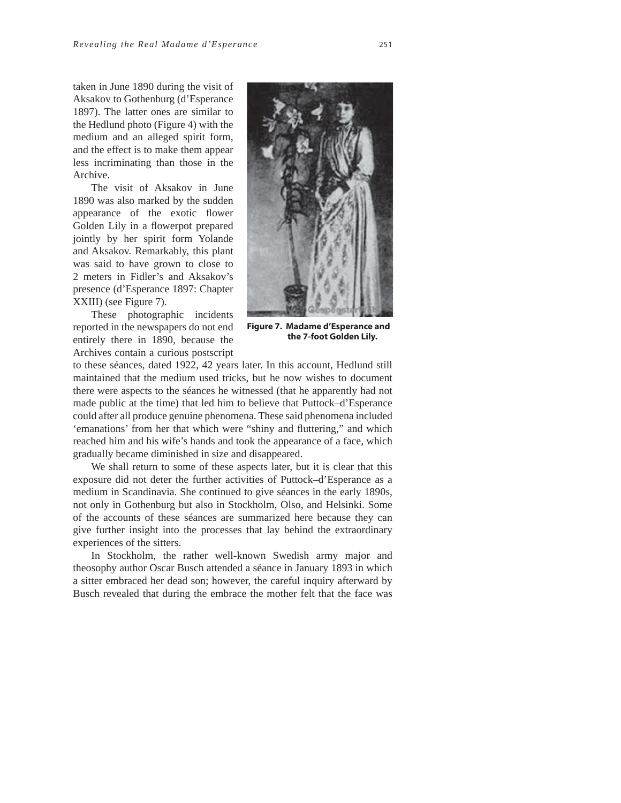taken in June 1890 during the visit of Aksakov to Gothenburg (d'Esperance 1897). The latter ones are similar to the Hedlund photo (Figure 4) with the medium and an alleged spirit form, and the effect is to make them appear less incriminating than those in the Archive.

The visit of Aksakov in June 1890 was also marked by the sudden appearance of the exotic flower Golden Lily in a flowerpot prepared jointly by her spirit form Yolande and Aksakov. Remarkably, this plant was said to have grown to close to 2 meters in Fidler's and Aksakov's presence (d'Esperance 1897: Chapter XXIII) (see Figure 7).

These photographic incidents reported in the newspapers do not end entirely there in 1890, because the Archives contain a curious postscript



**Figure 7. Madame d'Esperance and the 7-foot Golden Lily.**

to these séances, dated 1922, 42 years later. In this account, Hedlund still maintained that the medium used tricks, but he now wishes to document there were aspects to the séances he witnessed (that he apparently had not made public at the time) that led him to believe that Puttock–d'Esperance could after all produce genuine phenomena. These said phenomena included 'emanations' from her that which were "shiny and fluttering," and which reached him and his wife's hands and took the appearance of a face, which gradually became diminished in size and disappeared.

We shall return to some of these aspects later, but it is clear that this exposure did not deter the further activities of Puttock–d'Esperance as a medium in Scandinavia. She continued to give séances in the early 1890s, not only in Gothenburg but also in Stockholm, Olso, and Helsinki. Some of the accounts of these séances are summarized here because they can give further insight into the processes that lay behind the extraordinary experiences of the sitters.

In Stockholm, the rather well-known Swedish army major and theosophy author Oscar Busch attended a séance in January 1893 in which a sitter embraced her dead son; however, the careful inquiry afterward by Busch revealed that during the embrace the mother felt that the face was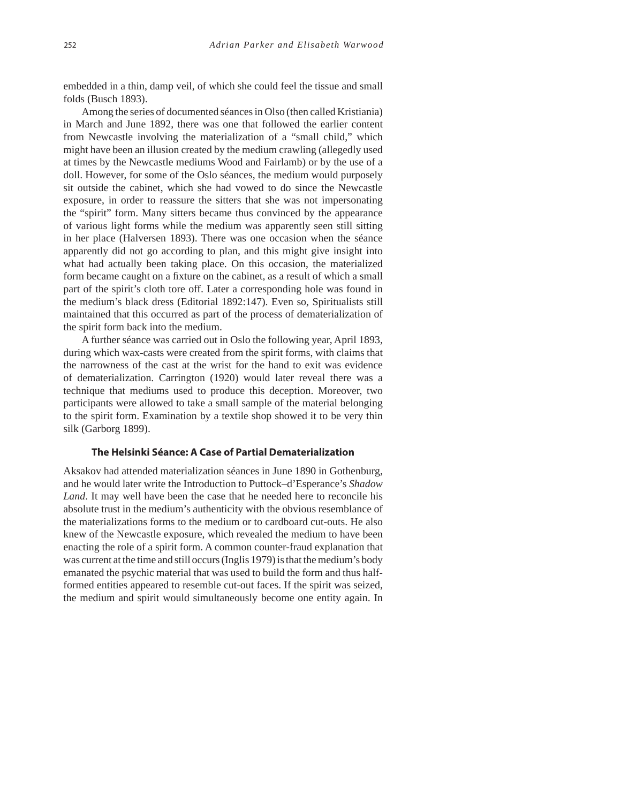embedded in a thin, damp veil, of which she could feel the tissue and small folds (Busch 1893).

Among the series of documented séances in Olso (then called Kristiania) in March and June 1892, there was one that followed the earlier content from Newcastle involving the materialization of a "small child," which might have been an illusion created by the medium crawling (allegedly used at times by the Newcastle mediums Wood and Fairlamb) or by the use of a doll. However, for some of the Oslo séances, the medium would purposely sit outside the cabinet, which she had vowed to do since the Newcastle exposure, in order to reassure the sitters that she was not impersonating the "spirit" form. Many sitters became thus convinced by the appearance of various light forms while the medium was apparently seen still sitting in her place (Halversen 1893). There was one occasion when the séance apparently did not go according to plan, and this might give insight into what had actually been taking place. On this occasion, the materialized form became caught on a fixture on the cabinet, as a result of which a small part of the spirit's cloth tore off. Later a corresponding hole was found in the medium's black dress (Editorial 1892:147). Even so, Spiritualists still maintained that this occurred as part of the process of dematerialization of the spirit form back into the medium.

A further séance was carried out in Oslo the following year, April 1893, during which wax-casts were created from the spirit forms, with claims that the narrowness of the cast at the wrist for the hand to exit was evidence of dematerialization. Carrington (1920) would later reveal there was a technique that mediums used to produce this deception. Moreover, two participants were allowed to take a small sample of the material belonging to the spirit form. Examination by a textile shop showed it to be very thin silk (Garborg 1899).

#### **The Helsinki Séance: A Case of Partial Dematerialization**

Aksakov had attended materialization séances in June 1890 in Gothenburg, and he would later write the Introduction to Puttock–d'Esperance's *Shadow Land*. It may well have been the case that he needed here to reconcile his absolute trust in the medium's authenticity with the obvious resemblance of the materializations forms to the medium or to cardboard cut-outs. He also knew of the Newcastle exposure, which revealed the medium to have been enacting the role of a spirit form. A common counter-fraud explanation that was current at the time and still occurs (Inglis 1979) is that the medium's body emanated the psychic material that was used to build the form and thus halfformed entities appeared to resemble cut-out faces. If the spirit was seized, the medium and spirit would simultaneously become one entity again. In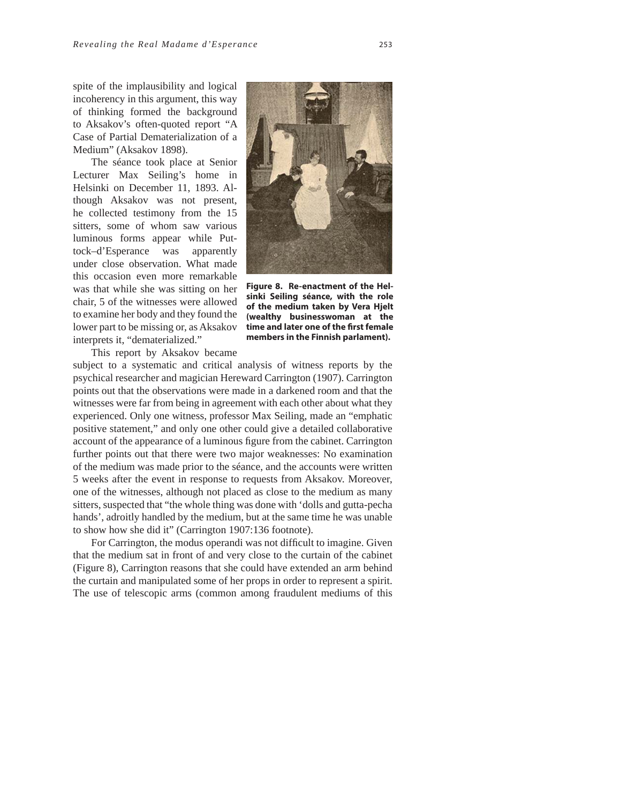spite of the implausibility and logical incoherency in this argument, this way of thinking formed the background to Aksakov's often-quoted report "A Case of Partial Dematerialization of a Medium" (Aksakov 1898).

The séance took place at Senior Lecturer Max Seiling's home in Helsinki on December 11, 1893. Although Aksakov was not present, he collected testimony from the 15 sitters, some of whom saw various luminous forms appear while Puttock–d'Esperance was apparently under close observation. What made this occasion even more remarkable was that while she was sitting on her chair, 5 of the witnesses were allowed to examine her body and they found the lower part to be missing or, as Aksakov interprets it, "dematerialized."



**Figure 8. Re-enactment of the Helsinki Seiling séance, with the role of the medium taken by Vera Hjelt (wealthy businesswoman at the time and later one of the fi rst female members in the Finnish parlament).**

This report by Aksakov became

subject to a systematic and critical analysis of witness reports by the psychical researcher and magician Hereward Carrington (1907). Carrington points out that the observations were made in a darkened room and that the witnesses were far from being in agreement with each other about what they experienced. Only one witness, professor Max Seiling, made an "emphatic positive statement," and only one other could give a detailed collaborative account of the appearance of a luminous figure from the cabinet. Carrington further points out that there were two major weaknesses: No examination of the medium was made prior to the séance, and the accounts were written 5 weeks after the event in response to requests from Aksakov. Moreover, one of the witnesses, although not placed as close to the medium as many sitters, suspected that "the whole thing was done with 'dolls and gutta-pecha hands', adroitly handled by the medium, but at the same time he was unable to show how she did it" (Carrington 1907:136 footnote).

For Carrington, the modus operandi was not difficult to imagine. Given that the medium sat in front of and very close to the curtain of the cabinet (Figure 8), Carrington reasons that she could have extended an arm behind the curtain and manipulated some of her props in order to represent a spirit. The use of telescopic arms (common among fraudulent mediums of this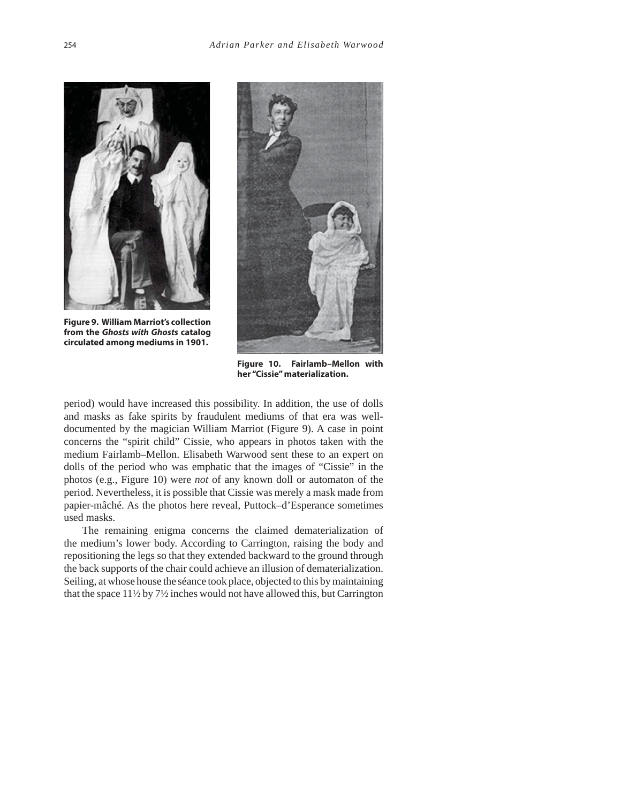

**Figure 9. William Marriot's collection from the** *Ghosts with Ghosts* **catalog circulated among mediums in 1901.**



**Figure 10. Fairlamb–Mellon with her "Cissie" materialization.**

period) would have increased this possibility. In addition, the use of dolls and masks as fake spirits by fraudulent mediums of that era was welldocumented by the magician William Marriot (Figure 9). A case in point concerns the "spirit child" Cissie, who appears in photos taken with the medium Fairlamb–Mellon. Elisabeth Warwood sent these to an expert on dolls of the period who was emphatic that the images of "Cissie" in the photos (e.g., Figure 10) were *not* of any known doll or automaton of the period. Nevertheless, it is possible that Cissie was merely a mask made from papier-mâché. As the photos here reveal, Puttock–d'Esperance sometimes used masks.

The remaining enigma concerns the claimed dematerialization of the medium's lower body. According to Carrington, raising the body and repositioning the legs so that they extended backward to the ground through the back supports of the chair could achieve an illusion of dematerialization. Seiling, at whose house the séance took place, objected to this by maintaining that the space 11½ by 7½ inches would not have allowed this, but Carrington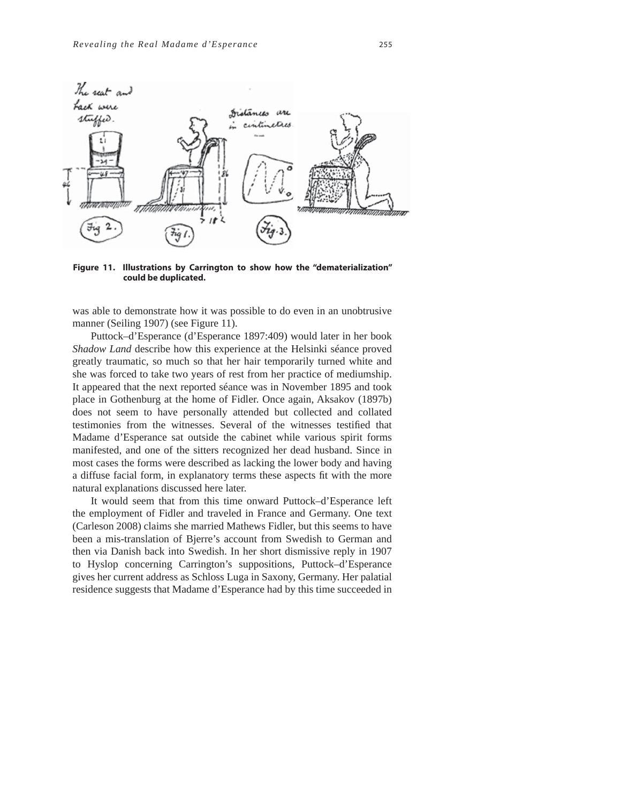

**Figure 11. Illustrations by Carrington to show how the "dematerialization" could be duplicated.**

was able to demonstrate how it was possible to do even in an unobtrusive manner (Seiling 1907) (see Figure 11).

Puttock–d'Esperance (d'Esperance 1897:409) would later in her book *Shadow Land* describe how this experience at the Helsinki séance proved greatly traumatic, so much so that her hair temporarily turned white and she was forced to take two years of rest from her practice of mediumship. It appeared that the next reported séance was in November 1895 and took place in Gothenburg at the home of Fidler. Once again, Aksakov (1897b) does not seem to have personally attended but collected and collated testimonies from the witnesses. Several of the witnesses testified that Madame d'Esperance sat outside the cabinet while various spirit forms manifested, and one of the sitters recognized her dead husband. Since in most cases the forms were described as lacking the lower body and having a diffuse facial form, in explanatory terms these aspects fit with the more natural explanations discussed here later.

It would seem that from this time onward Puttock–d'Esperance left the employment of Fidler and traveled in France and Germany. One text (Carleson 2008) claims she married Mathews Fidler, but this seems to have been a mis-translation of Bjerre's account from Swedish to German and then via Danish back into Swedish. In her short dismissive reply in 1907 to Hyslop concerning Carrington's suppositions, Puttock–d'Esperance gives her current address as Schloss Luga in Saxony, Germany. Her palatial residence suggests that Madame d'Esperance had by this time succeeded in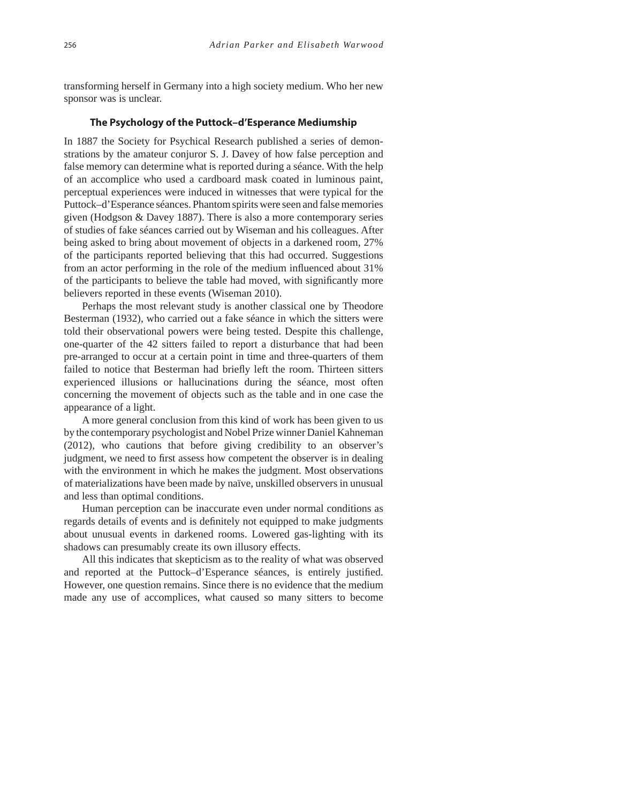transforming herself in Germany into a high society medium. Who her new sponsor was is unclear.

#### **The Psychology of the Puttock–d'Esperance Mediumship**

In 1887 the Society for Psychical Research published a series of demonstrations by the amateur conjuror S. J. Davey of how false perception and false memory can determine what is reported during a séance. With the help of an accomplice who used a cardboard mask coated in luminous paint, perceptual experiences were induced in witnesses that were typical for the Puttock–d'Esperance séances. Phantom spirits were seen and false memories given (Hodgson & Davey 1887). There is also a more contemporary series of studies of fake séances carried out by Wiseman and his colleagues. After being asked to bring about movement of objects in a darkened room, 27% of the participants reported believing that this had occurred. Suggestions from an actor performing in the role of the medium influenced about 31% of the participants to believe the table had moved, with significantly more believers reported in these events (Wiseman 2010).

Perhaps the most relevant study is another classical one by Theodore Besterman (1932), who carried out a fake séance in which the sitters were told their observational powers were being tested. Despite this challenge, one-quarter of the 42 sitters failed to report a disturbance that had been pre-arranged to occur at a certain point in time and three-quarters of them failed to notice that Besterman had briefly left the room. Thirteen sitters experienced illusions or hallucinations during the séance, most often concerning the movement of objects such as the table and in one case the appearance of a light.

A more general conclusion from this kind of work has been given to us by the contemporary psychologist and Nobel Prize winner Daniel Kahneman (2012), who cautions that before giving credibility to an observer's judgment, we need to first assess how competent the observer is in dealing with the environment in which he makes the judgment. Most observations of materializations have been made by naïve, unskilled observers in unusual and less than optimal conditions.

Human perception can be inaccurate even under normal conditions as regards details of events and is definitely not equipped to make judgments about unusual events in darkened rooms. Lowered gas-lighting with its shadows can presumably create its own illusory effects.

All this indicates that skepticism as to the reality of what was observed and reported at the Puttock–d'Esperance séances, is entirely justified. However, one question remains. Since there is no evidence that the medium made any use of accomplices, what caused so many sitters to become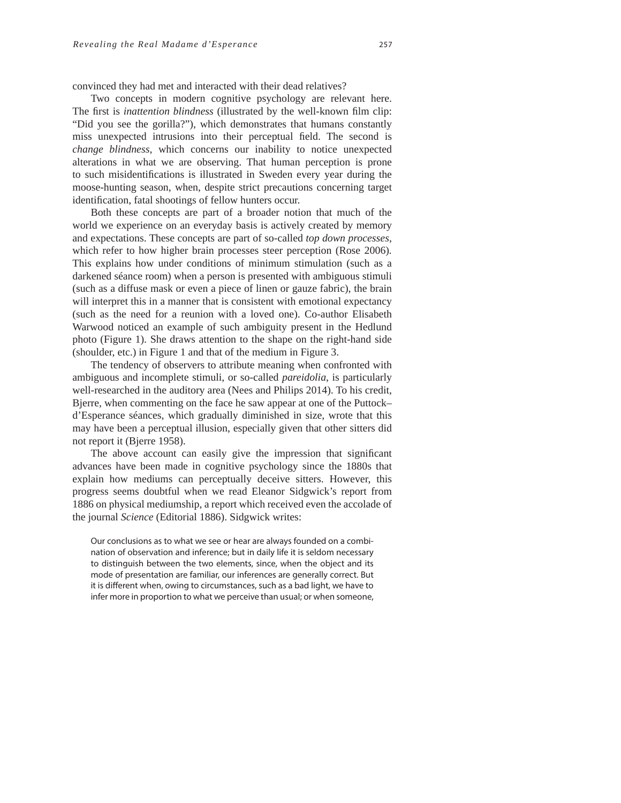convinced they had met and interacted with their dead relatives?

Two concepts in modern cognitive psychology are relevant here. The first is *inattention blindness* (illustrated by the well-known film clip: "Did you see the gorilla?"), which demonstrates that humans constantly miss unexpected intrusions into their perceptual field. The second is *change blindness*, which concerns our inability to notice unexpected alterations in what we are observing. That human perception is prone to such misidentifications is illustrated in Sweden every year during the moose-hunting season, when, despite strict precautions concerning target identification, fatal shootings of fellow hunters occur.

Both these concepts are part of a broader notion that much of the world we experience on an everyday basis is actively created by memory and expectations. These concepts are part of so-called *top down processes*, which refer to how higher brain processes steer perception (Rose 2006)*.*  This explains how under conditions of minimum stimulation (such as a darkened séance room) when a person is presented with ambiguous stimuli (such as a diffuse mask or even a piece of linen or gauze fabric), the brain will interpret this in a manner that is consistent with emotional expectancy (such as the need for a reunion with a loved one). Co-author Elisabeth Warwood noticed an example of such ambiguity present in the Hedlund photo (Figure 1). She draws attention to the shape on the right-hand side (shoulder, etc.) in Figure 1 and that of the medium in Figure 3.

The tendency of observers to attribute meaning when confronted with ambiguous and incomplete stimuli, or so-called *pareidolia*, is particularly well-researched in the auditory area (Nees and Philips 2014). To his credit, Bjerre, when commenting on the face he saw appear at one of the Puttock– d'Esperance séances, which gradually diminished in size, wrote that this may have been a perceptual illusion, especially given that other sitters did not report it (Bjerre 1958).

The above account can easily give the impression that significant advances have been made in cognitive psychology since the 1880s that explain how mediums can perceptually deceive sitters. However, this progress seems doubtful when we read Eleanor Sidgwick's report from 1886 on physical mediumship, a report which received even the accolade of the journal *Science* (Editorial 1886). Sidgwick writes:

Our conclusions as to what we see or hear are always founded on a combination of observation and inference; but in daily life it is seldom necessary to distinguish between the two elements, since, when the object and its mode of presentation are familiar, our inferences are generally correct. But it is different when, owing to circumstances, such as a bad light, we have to infer more in proportion to what we perceive than usual; or when someone,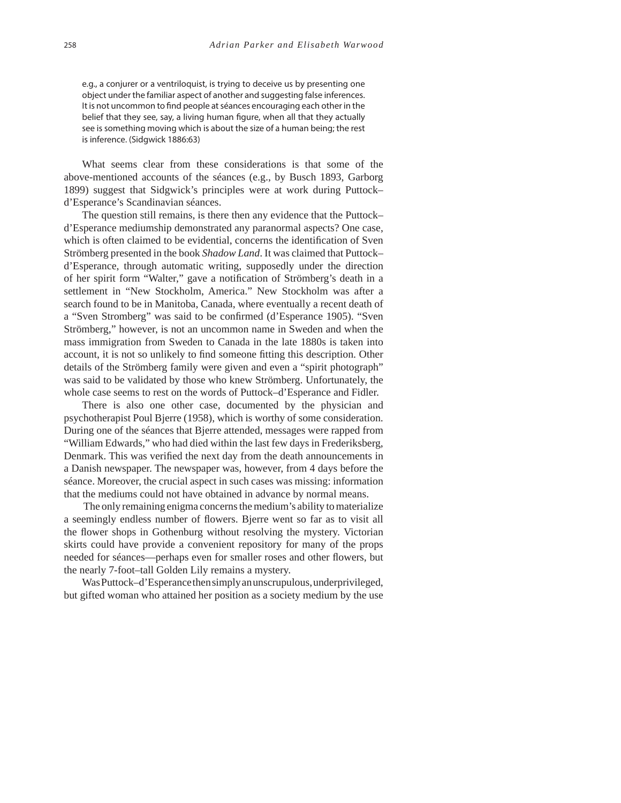e.g., a conjurer or a ventriloquist, is trying to deceive us by presenting one object under the familiar aspect of another and suggesting false inferences. It is not uncommon to find people at séances encouraging each other in the belief that they see, say, a living human figure, when all that they actually see is something moving which is about the size of a human being; the rest is inference. (Sidgwick 1886:63)

What seems clear from these considerations is that some of the above-mentioned accounts of the séances (e.g., by Busch 1893, Garborg 1899) suggest that Sidgwick's principles were at work during Puttock– d'Esperance's Scandinavian séances.

The question still remains, is there then any evidence that the Puttock– d'Esperance mediumship demonstrated any paranormal aspects? One case, which is often claimed to be evidential, concerns the identification of Sven Strömberg presented in the book *Shadow Land*. It was claimed that Puttock– d'Esperance, through automatic writing, supposedly under the direction of her spirit form "Walter," gave a notification of Strömberg's death in a settlement in "New Stockholm, America." New Stockholm was after a search found to be in Manitoba, Canada, where eventually a recent death of a "Sven Stromberg" was said to be confirmed (d'Esperance 1905). "Sven Strömberg," however, is not an uncommon name in Sweden and when the mass immigration from Sweden to Canada in the late 1880s is taken into account, it is not so unlikely to find someone fitting this description. Other details of the Strömberg family were given and even a "spirit photograph" was said to be validated by those who knew Strömberg. Unfortunately, the whole case seems to rest on the words of Puttock–d'Esperance and Fidler.

There is also one other case, documented by the physician and psychotherapist Poul Bjerre (1958), which is worthy of some consideration. During one of the séances that Bjerre attended, messages were rapped from "William Edwards," who had died within the last few days in Frederiksberg, Denmark. This was verified the next day from the death announcements in a Danish newspaper. The newspaper was, however, from 4 days before the séance. Moreover, the crucial aspect in such cases was missing: information that the mediums could not have obtained in advance by normal means.

 The only remaining enigma concerns the medium's ability to materialize a seemingly endless number of flowers. Bjerre went so far as to visit all the flower shops in Gothenburg without resolving the mystery. Victorian skirts could have provide a convenient repository for many of the props needed for séances—perhaps even for smaller roses and other flowers, but the nearly 7-foot–tall Golden Lily remains a mystery.

Was Puttock–d'Esperance then simply an unscrupulous, underprivileged, but gifted woman who attained her position as a society medium by the use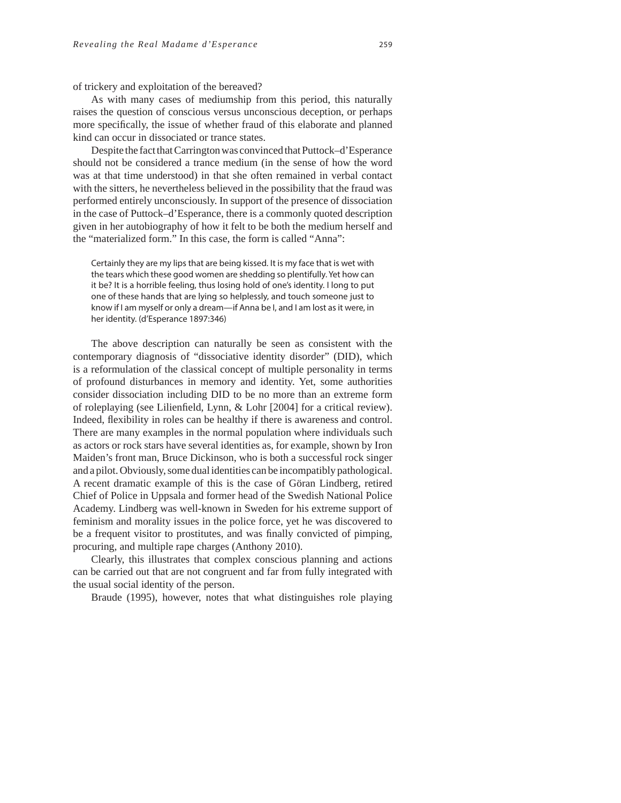of trickery and exploitation of the bereaved?

As with many cases of mediumship from this period, this naturally raises the question of conscious versus unconscious deception, or perhaps more specifically, the issue of whether fraud of this elaborate and planned kind can occur in dissociated or trance states.

Despite the fact that Carrington was convinced that Puttock–d'Esperance should not be considered a trance medium (in the sense of how the word was at that time understood) in that she often remained in verbal contact with the sitters, he nevertheless believed in the possibility that the fraud was performed entirely unconsciously. In support of the presence of dissociation in the case of Puttock–d'Esperance, there is a commonly quoted description given in her autobiography of how it felt to be both the medium herself and the "materialized form." In this case, the form is called "Anna":

Certainly they are my lips that are being kissed. It is my face that is wet with the tears which these good women are shedding so plentifully. Yet how can it be? It is a horrible feeling, thus losing hold of one's identity. I long to put one of these hands that are lying so helplessly, and touch someone just to know if I am myself or only a dream—if Anna be I, and I am lost as it were, in her identity. (d'Esperance 1897:346)

The above description can naturally be seen as consistent with the contemporary diagnosis of "dissociative identity disorder" (DID), which is a reformulation of the classical concept of multiple personality in terms of profound disturbances in memory and identity. Yet, some authorities consider dissociation including DID to be no more than an extreme form of roleplaying (see Lilienfield, Lynn, & Lohr [2004] for a critical review). Indeed, flexibility in roles can be healthy if there is awareness and control. There are many examples in the normal population where individuals such as actors or rock stars have several identities as, for example, shown by Iron Maiden's front man, Bruce Dickinson, who is both a successful rock singer and a pilot. Obviously, some dual identities can be incompatibly pathological. A recent dramatic example of this is the case of Göran Lindberg, retired Chief of Police in Uppsala and former head of the Swedish National Police Academy. Lindberg was well-known in Sweden for his extreme support of feminism and morality issues in the police force, yet he was discovered to be a frequent visitor to prostitutes, and was finally convicted of pimping, procuring, and multiple rape charges (Anthony 2010).

Clearly, this illustrates that complex conscious planning and actions can be carried out that are not congruent and far from fully integrated with the usual social identity of the person.

Braude (1995), however, notes that what distinguishes role playing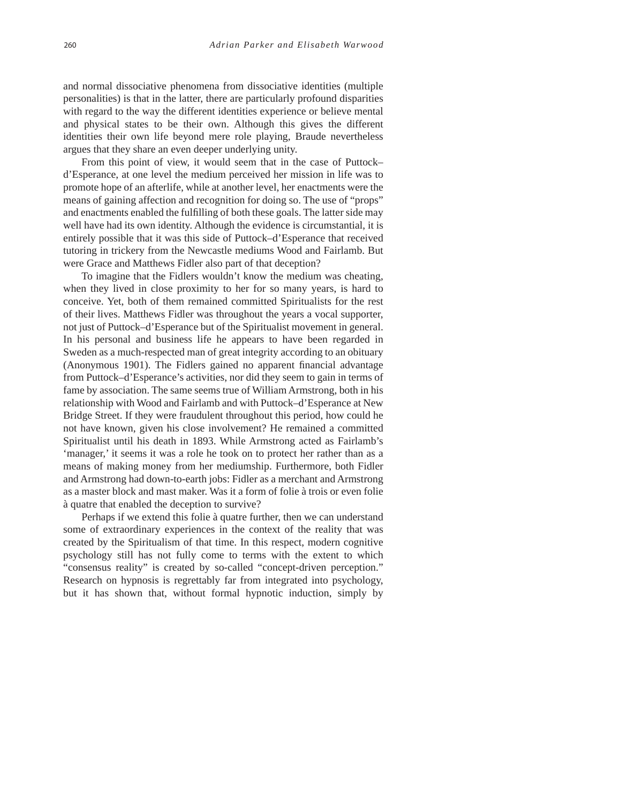and normal dissociative phenomena from dissociative identities (multiple personalities) is that in the latter, there are particularly profound disparities with regard to the way the different identities experience or believe mental and physical states to be their own. Although this gives the different identities their own life beyond mere role playing, Braude nevertheless argues that they share an even deeper underlying unity.

From this point of view, it would seem that in the case of Puttock– d'Esperance, at one level the medium perceived her mission in life was to promote hope of an afterlife, while at another level, her enactments were the means of gaining affection and recognition for doing so. The use of "props" and enactments enabled the fulfilling of both these goals. The latter side may well have had its own identity. Although the evidence is circumstantial, it is entirely possible that it was this side of Puttock–d'Esperance that received tutoring in trickery from the Newcastle mediums Wood and Fairlamb. But were Grace and Matthews Fidler also part of that deception?

To imagine that the Fidlers wouldn't know the medium was cheating, when they lived in close proximity to her for so many years, is hard to conceive. Yet, both of them remained committed Spiritualists for the rest of their lives. Matthews Fidler was throughout the years a vocal supporter, not just of Puttock–d'Esperance but of the Spiritualist movement in general. In his personal and business life he appears to have been regarded in Sweden as a much-respected man of great integrity according to an obituary (Anonymous 1901). The Fidlers gained no apparent financial advantage from Puttock–d'Esperance's activities, nor did they seem to gain in terms of fame by association. The same seems true of William Armstrong, both in his relationship with Wood and Fairlamb and with Puttock–d'Esperance at New Bridge Street. If they were fraudulent throughout this period, how could he not have known, given his close involvement? He remained a committed Spiritualist until his death in 1893. While Armstrong acted as Fairlamb's 'manager,' it seems it was a role he took on to protect her rather than as a means of making money from her mediumship. Furthermore, both Fidler and Armstrong had down-to-earth jobs: Fidler as a merchant and Armstrong as a master block and mast maker. Was it a form of folie à trois or even folie à quatre that enabled the deception to survive?

Perhaps if we extend this folie à quatre further, then we can understand some of extraordinary experiences in the context of the reality that was created by the Spiritualism of that time. In this respect, modern cognitive psychology still has not fully come to terms with the extent to which "consensus reality" is created by so-called "concept-driven perception." Research on hypnosis is regrettably far from integrated into psychology, but it has shown that, without formal hypnotic induction, simply by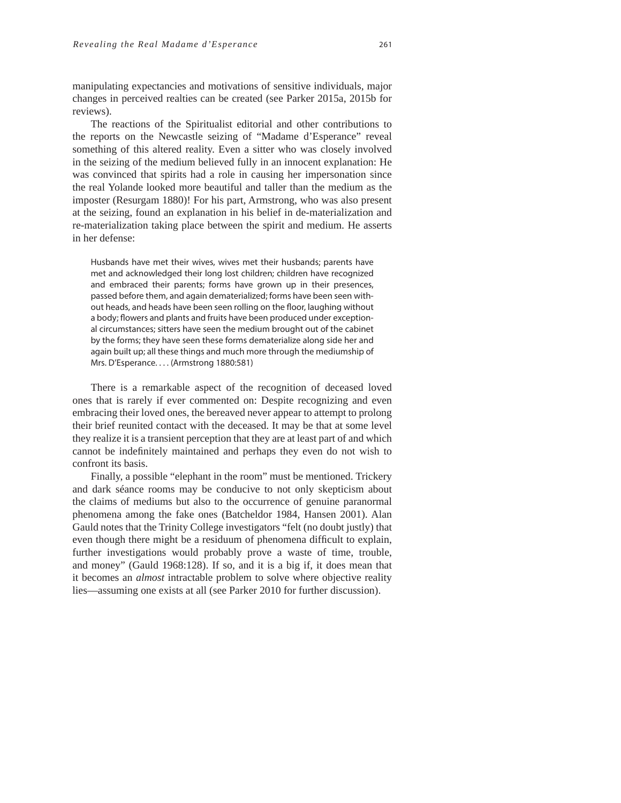manipulating expectancies and motivations of sensitive individuals, major changes in perceived realties can be created (see Parker 2015a, 2015b for reviews).

The reactions of the Spiritualist editorial and other contributions to the reports on the Newcastle seizing of "Madame d'Esperance" reveal something of this altered reality. Even a sitter who was closely involved in the seizing of the medium believed fully in an innocent explanation: He was convinced that spirits had a role in causing her impersonation since the real Yolande looked more beautiful and taller than the medium as the imposter (Resurgam 1880)! For his part, Armstrong, who was also present at the seizing, found an explanation in his belief in de-materialization and re-materialization taking place between the spirit and medium. He asserts in her defense:

Husbands have met their wives, wives met their husbands; parents have met and acknowledged their long lost children; children have recognized and embraced their parents; forms have grown up in their presences, passed before them, and again dematerialized; forms have been seen without heads, and heads have been seen rolling on the floor, laughing without a body; flowers and plants and fruits have been produced under exceptional circumstances; sitters have seen the medium brought out of the cabinet by the forms; they have seen these forms dematerialize along side her and again built up; all these things and much more through the mediumship of Mrs. D'Esperance. . . . (Armstrong 1880:581)

There is a remarkable aspect of the recognition of deceased loved ones that is rarely if ever commented on: Despite recognizing and even embracing their loved ones, the bereaved never appear to attempt to prolong their brief reunited contact with the deceased. It may be that at some level they realize it is a transient perception that they are at least part of and which cannot be indefinitely maintained and perhaps they even do not wish to confront its basis.

Finally, a possible "elephant in the room" must be mentioned. Trickery and dark séance rooms may be conducive to not only skepticism about the claims of mediums but also to the occurrence of genuine paranormal phenomena among the fake ones (Batcheldor 1984, Hansen 2001). Alan Gauld notes that the Trinity College investigators "felt (no doubt justly) that even though there might be a residuum of phenomena difficult to explain, further investigations would probably prove a waste of time, trouble, and money" (Gauld 1968:128). If so, and it is a big if, it does mean that it becomes an *almost* intractable problem to solve where objective reality lies—assuming one exists at all (see Parker 2010 for further discussion).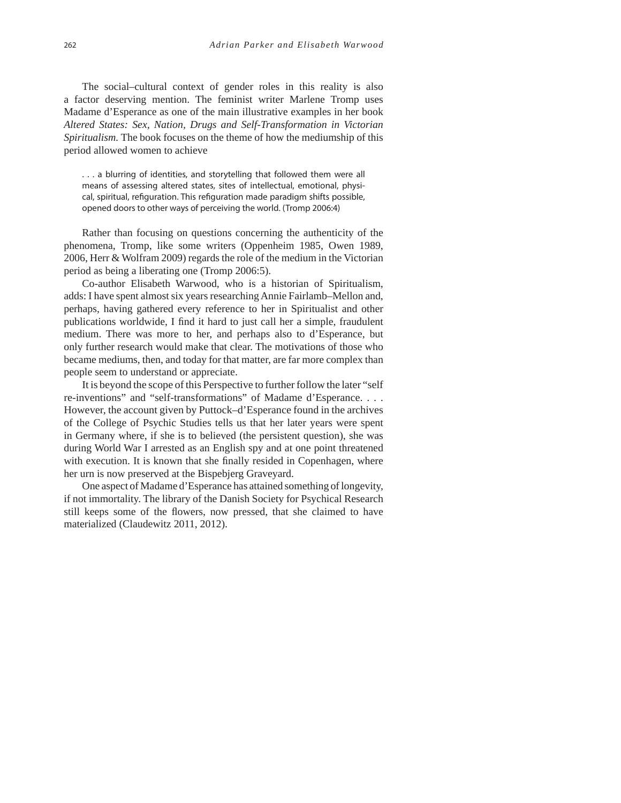The social–cultural context of gender roles in this reality is also a factor deserving mention. The feminist writer Marlene Tromp uses Madame d'Esperance as one of the main illustrative examples in her book *Altered States: Sex, Nation, Drugs and Self-Transformation in Victorian Spiritualism.* The book focuses on the theme of how the mediumship of this period allowed women to achieve

. . . a blurring of identities, and storytelling that followed them were all means of assessing altered states, sites of intellectual, emotional, physical, spiritual, refiguration. This refiguration made paradigm shifts possible, opened doors to other ways of perceiving the world. (Tromp 2006:4)

Rather than focusing on questions concerning the authenticity of the phenomena, Tromp, like some writers (Oppenheim 1985, Owen 1989, 2006, Herr & Wolfram 2009) regards the role of the medium in the Victorian period as being a liberating one (Tromp 2006:5).

Co-author Elisabeth Warwood, who is a historian of Spiritualism, adds: I have spent almost six years researching Annie Fairlamb–Mellon and, perhaps, having gathered every reference to her in Spiritualist and other publications worldwide, I find it hard to just call her a simple, fraudulent medium. There was more to her, and perhaps also to d'Esperance, but only further research would make that clear. The motivations of those who became mediums, then, and today for that matter, are far more complex than people seem to understand or appreciate.

It is beyond the scope of this Perspective to further follow the later "self re-inventions" and "self-transformations" of Madame d'Esperance. . . . However, the account given by Puttock–d'Esperance found in the archives of the College of Psychic Studies tells us that her later years were spent in Germany where, if she is to believed (the persistent question), she was during World War I arrested as an English spy and at one point threatened with execution. It is known that she finally resided in Copenhagen, where her urn is now preserved at the Bispebjerg Graveyard.

One aspect of Madame d'Esperance has attained something of longevity, if not immortality. The library of the Danish Society for Psychical Research still keeps some of the flowers, now pressed, that she claimed to have materialized (Claudewitz 2011, 2012).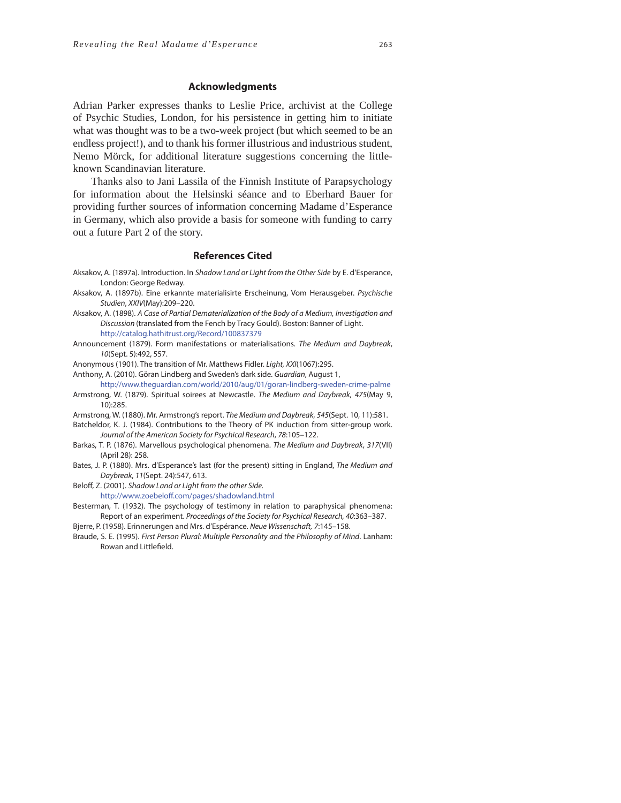#### **Acknowledgments**

Adrian Parker expresses thanks to Leslie Price, archivist at the College of Psychic Studies, London, for his persistence in getting him to initiate what was thought was to be a two-week project (but which seemed to be an endless project!), and to thank his former illustrious and industrious student, Nemo Mörck, for additional literature suggestions concerning the littleknown Scandinavian literature.

Thanks also to Jani Lassila of the Finnish Institute of Parapsychology for information about the Helsinski séance and to Eberhard Bauer for providing further sources of information concerning Madame d'Esperance in Germany, which also provide a basis for someone with funding to carry out a future Part 2 of the story.

#### **References Cited**

- Aksakov, A. (1897a). Introduction. In Shadow Land or Light from the Other Side by E. d'Esperance, London: George Redway.
- Aksakov, A. (1897b). Eine erkannte materialisirte Erscheinung, Vom Herausgeber. Psychische Studien, XXIV(May):209–220.
- Aksakov, A. (1898). A Case of Partial Dematerialization of the Body of a Medium, Investigation and Discussion (translated from the Fench by Tracy Gould). Boston: Banner of Light. http://catalog.hathitrust.org/Record/100837379
- Announcement (1879). Form manifestations or materialisations. The Medium and Daybreak, 10(Sept. 5):492, 557.
- Anonymous (1901). The transition of Mr. Matthews Fidler. Light, XXI(1067):295.
- Anthony, A. (2010). Göran Lindberg and Sweden's dark side. Guardian, August 1,
- http://www.theguardian.com/world/2010/aug/01/goran-lindberg-sweden-crime-palme Armstrong, W. (1879). Spiritual soirees at Newcastle. The Medium and Daybreak, 475(May 9, 10):285.

Armstrong, W. (1880). Mr. Armstrong's report. The Medium and Daybreak, 545(Sept. 10, 11):581.

- Batcheldor, K. J. (1984). Contributions to the Theory of PK induction from sitter-group work. Journal of the American Society for Psychical Research, 78:105–122.
- Barkas, T. P. (1876). Marvellous psychological phenomena. The Medium and Daybreak, 317(VII) (April 28): 258.
- Bates, J. P. (1880). Mrs. d'Esperance's last (for the present) sitting in England, The Medium and Daybreak, 11(Sept. 24):547, 613.

Beloff, Z. (2001). Shadow Land or Light from the other Side.

http://www.zoebeloff.com/pages/shadowland.html

- Besterman, T. (1932). The psychology of testimony in relation to paraphysical phenomena: Report of an experiment. Proceedings of the Society for Psychical Research, 40:363–387.
- Bjerre, P. (1958). Erinnerungen and Mrs. d'Espérance. Neue Wissenschaft, 7:145–158.
- Braude, S. E. (1995). First Person Plural: Multiple Personality and the Philosophy of Mind. Lanham: Rowan and Littlefield.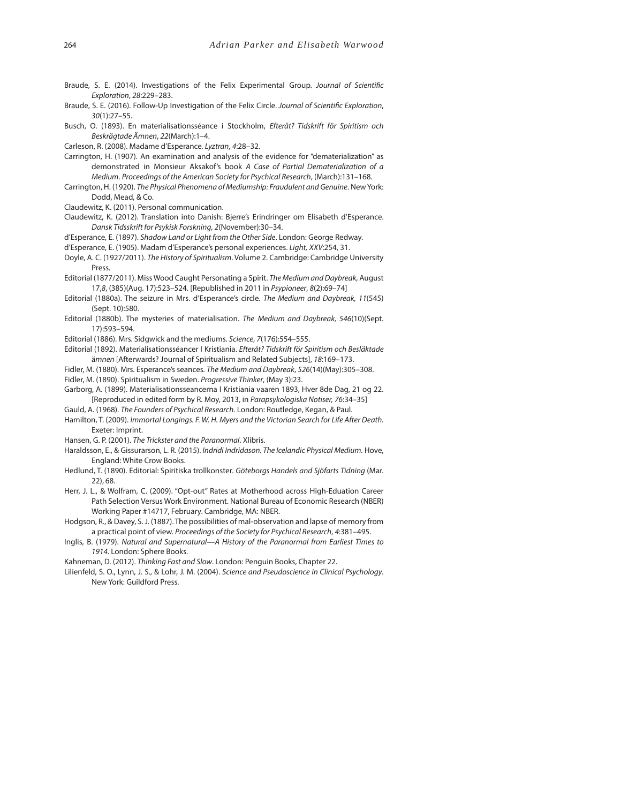- Braude, S. E. (2014). Investigations of the Felix Experimental Group. Journal of Scientific Exploration, 28:229–283.
- Braude, S. E. (2016). Follow-Up Investigation of the Felix Circle. Journal of Scientific Exploration, 30(1):27–55.
- Busch, O. (1893). En materialisationsséance i Stockholm, Efteråt? Tidskrift för Spiritism och Beskrägtade Ämnen, 22(March):1–4.

Carleson, R. (2008). Madame d'Esperance. Lyztran, 4:28–32.

- Carrington, H. (1907). An examination and analysis of the evidence for "dematerialization" as demonstrated in Monsieur Aksakof's book A Case of Partial Dematerialization of a Medium. Proceedings of the American Society for Psychical Research, (March):131–168.
- Carrington, H. (1920). The Physical Phenomena of Mediumship: Fraudulent and Genuine. New York: Dodd, Mead, & Co.

Claudewitz, K. (2011). Personal communication.

- Claudewitz, K. (2012). Translation into Danish: Bjerre's Erindringer om Elisabeth d'Esperance. Dansk Tidsskrift for Psykisk Forskning, 2(November):30–34.
- d'Esperance, E. (1897). Shadow Land or Light from the Other Side. London: George Redway.
- d'Esperance, E. (1905). Madam d'Esperance's personal experiences. Light, XXV:254, 31.

Doyle, A. C. (1927/2011). The History of Spiritualism. Volume 2. Cambridge: Cambridge University Press.

- Editorial (1877/2011). Miss Wood Caught Personating a Spirit. The Medium and Daybreak, August 17,8, (385)(Aug. 17):523–524. [Republished in 2011 in Psypioneer, 8(2):69–74]
- Editorial (1880a). The seizure in Mrs. d'Esperance's circle. The Medium and Daybreak, 11(545) (Sept. 10):580.
- Editorial (1880b). The mysteries of materialisation. The Medium and Daybreak, 546(10)(Sept. 17):593–594.

Editorial (1886). Mrs. Sidgwick and the mediums. Science, 7(176):554–555.

- Editorial (1892). Materialisationsséancer I Kristiania. Efteråt? Tidskrift för Spiritism och Besläktade ämnen [Afterwards? Journal of Spiritualism and Related Subjects], 18:169–173.
- Fidler, M. (1880). Mrs. Esperance's seances. The Medium and Daybreak, 526(14)(May):305–308. Fidler, M. (1890). Spiritualism in Sweden. Progressive Thinker, (May 3):23.

Garborg, A. (1899). Materialisationsseancerna I Kristiania vaaren 1893, Hver 8de Dag, 21 og 22.

[Reproduced in edited form by R. Moy, 2013, in Parapsykologiska Notiser, 76:34–35]

Gauld, A. (1968). The Founders of Psychical Research. London: Routledge, Kegan, & Paul.

Hamilton, T. (2009). Immortal Longings. F. W. H. Myers and the Victorian Search for Life After Death. Exeter: Imprint.

Hansen, G. P. (2001). The Trickster and the Paranormal. Xlibris.

Haraldsson, E., & Gissurarson, L. R. (2015). Indridi Indridason. The Icelandic Physical Medium. Hove, England: White Crow Books.

- Hedlund, T. (1890). Editorial: Spiritiska trollkonster. Göteborgs Handels and Sjöfarts Tidning (Mar. 22), 68.
- Herr, J. L., & Wolfram, C. (2009). "Opt-out" Rates at Motherhood across High-Eduation Career Path Selection Versus Work Environment. National Bureau of Economic Research (NBER) Working Paper #14717, February. Cambridge, MA: NBER.
- Hodgson, R., & Davey, S. J. (1887). The possibilities of mal-observation and lapse of memory from a practical point of view. Proceedings of the Society for Psychical Research, 4:381–495.
- Inglis, B. (1979). Natural and Supernatural—A History of the Paranormal from Earliest Times to 1914. London: Sphere Books.

Kahneman, D. (2012). Thinking Fast and Slow. London: Penguin Books, Chapter 22.

Lilienfeld, S. O., Lynn, J. S., & Lohr, J. M. (2004). Science and Pseudoscience in Clinical Psychology. New York: Guildford Press.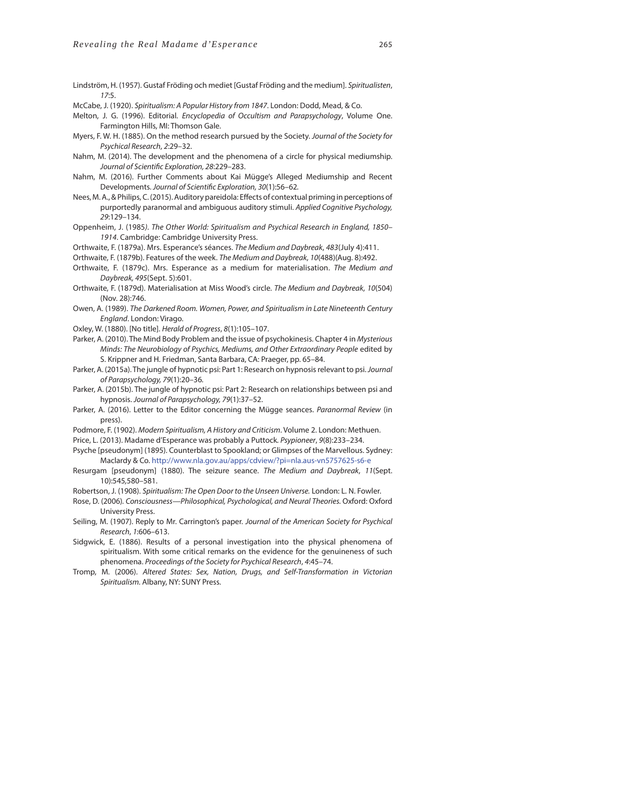Lindström, H. (1957). Gustaf Fröding och mediet [Gustaf Fröding and the medium]. Spiritualisten, 17:5.

- McCabe, J. (1920). Spiritualism: A Popular History from 1847. London: Dodd, Mead, & Co.
- Melton, J. G. (1996). Editorial. Encyclopedia of Occultism and Parapsychology, Volume One. Farmington Hills, MI: Thomson Gale.
- Myers, F. W. H. (1885). On the method research pursued by the Society. Journal of the Society for Psychical Research, 2:29–32.
- Nahm, M. (2014). The development and the phenomena of a circle for physical mediumship. Journal of Scientific Exploration, 28:229-283.
- Nahm, M. (2016). Further Comments about Kai Mügge's Alleged Mediumship and Recent Developments. Journal of Scientific Exploration, 30(1):56-62.
- Nees, M. A., & Philips, C. (2015). Auditory pareidola: Effects of contextual priming in perceptions of purportedly paranormal and ambiguous auditory stimuli. Applied Cognitive Psychology, 29:129–134.
- Oppenheim, J. (1985). The Other World: Spiritualism and Psychical Research in England, 1850– 1914. Cambridge: Cambridge University Press.
- Orthwaite, F. (1879a). Mrs. Esperance's séances. The Medium and Daybreak, 483(July 4):411.
- Orthwaite, F. (1879b). Features of the week. The Medium and Daybreak, 10(488)(Aug. 8):492.
- Orthwaite, F. (1879c). Mrs. Esperance as a medium for materialisation. The Medium and Daybreak, 495(Sept. 5):601.
- Orthwaite, F. (1879d). Materialisation at Miss Wood's circle. The Medium and Daybreak, 10(504) (Nov. 28):746.
- Owen, A. (1989). The Darkened Room. Women, Power, and Spiritualism in Late Nineteenth Century England. London: Virago.
- Oxley, W. (1880). [No title]. Herald of Progress, 8(1):105–107.
- Parker, A. (2010). The Mind Body Problem and the issue of psychokinesis. Chapter 4 in Mysterious Minds: The Neurobiology of Psychics, Mediums, and Other Extraordinary People edited by S. Krippner and H. Friedman, Santa Barbara, CA: Praeger, pp. 65–84.
- Parker, A. (2015a). The jungle of hypnotic psi: Part 1: Research on hypnosis relevant to psi. Journal of Parapsychology, 79(1):20–36.
- Parker, A. (2015b). The jungle of hypnotic psi: Part 2: Research on relationships between psi and hypnosis. Journal of Parapsychology, 79(1):37–52.
- Parker, A. (2016). Letter to the Editor concerning the Mügge seances. Paranormal Review (in press).
- Podmore, F. (1902). Modern Spiritualism, A History and Criticism. Volume 2. London: Methuen.
- Price, L. (2013). Madame d'Esperance was probably a Puttock. Psypioneer, 9(8):233–234.
- Psyche [pseudonym] (1895). Counterblast to Spookland; or Glimpses of the Marvellous. Sydney: Maclardy & Co. http://www.nla.gov.au/apps/cdview/?pi=nla.aus-vn5757625-s6-e
- Resurgam [pseudonym] (1880). The seizure seance. The Medium and Daybreak, 11(Sept. 10):545,580–581.
- Robertson, J. (1908). Spiritualism: The Open Door to the Unseen Universe. London: L. N. Fowler.
- Rose, D. (2006). Consciousness—Philosophical, Psychological, and Neural Theories. Oxford: Oxford University Press.
- Seiling, M. (1907). Reply to Mr. Carrington's paper. Journal of the American Society for Psychical Research, 1:606–613.
- Sidgwick, E. (1886). Results of a personal investigation into the physical phenomena of spiritualism. With some critical remarks on the evidence for the genuineness of such phenomena. Proceedings of the Society for Psychical Research, 4:45–74.
- Tromp, M. (2006). Altered States: Sex, Nation, Drugs, and Self-Transformation in Victorian Spiritualism. Albany, NY: SUNY Press.